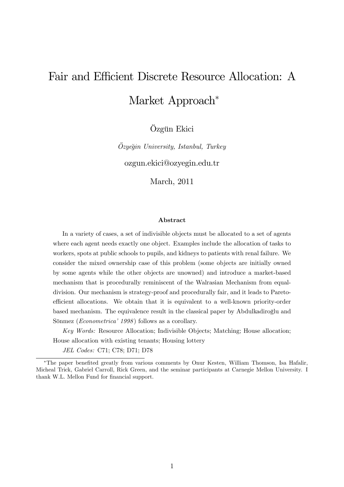# Fair and Efficient Discrete Resource Allocation: A Market Approach<sup>\*</sup>

Özgün Ekici

 $\ddot{O}z$ yeğin University, Istanbul, Turkey

ozgun.ekici@ozyegin.edu.tr

March, 2011

#### Abstract

In a variety of cases, a set of indivisible objects must be allocated to a set of agents where each agent needs exactly one object. Examples include the allocation of tasks to workers, spots at public schools to pupils, and kidneys to patients with renal failure. We consider the mixed ownership case of this problem (some objects are initially owned by some agents while the other objects are unowned) and introduce a market-based mechanism that is procedurally reminiscent of the Walrasian Mechanism from equaldivision. Our mechanism is strategy-proof and procedurally fair, and it leads to Paretoefficient allocations. We obtain that it is equivalent to a well-known priority-order based mechanism. The equivalence result in the classical paper by Abdulkadiroglu and Sönmez (*Econometrica*<sup>'</sup> 1998) follows as a corollary.

Key Words: Resource Allocation; Indivisible Objects; Matching; House allocation; House allocation with existing tenants; Housing lottery

JEL Codes: C71; C78; D71; D78

<sup>\*</sup>The paper benefited greatly from various comments by Onur Kesten, William Thomson, Isa Hafalir, Micheal Trick, Gabriel Carroll, Rick Green, and the seminar participants at Carnegie Mellon University. I thank W.L. Mellon Fund for financial support.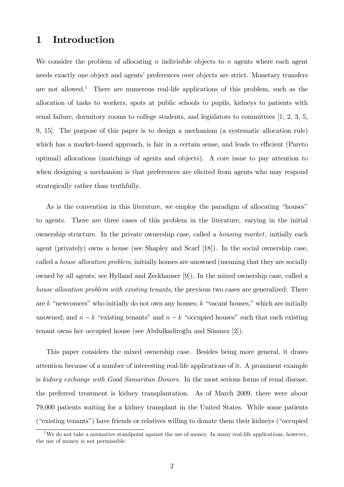# 1 Introduction

We consider the problem of allocating n indivisible objects to n agents where each agent needs exactly one object and agents' preferences over objects are strict. Monetary transfers are not allowed.<sup>1</sup> There are numerous real-life applications of this problem, such as the allocation of tasks to workers, spots at public schools to pupils, kidneys to patients with renal failure, dormitory rooms to college students, and legislators to committees [1, 2, 3, 5, 9, 15]. The purpose of this paper is to design a mechanism (a systematic allocation rule) which has a market-based approach, is fair in a certain sense, and leads to efficient (Pareto optimal) allocations (matchings of agents and objects). A core issue to pay attention to when designing a mechanism is that preferences are elicited from agents who may respond strategically rather than truthfully.

As is the convention in this literature, we employ the paradigm of allocating "houses" to agents. There are three cases of this problem in the literature, varying in the initial ownership structure. In the private ownership case, called a *housing market*, initially each agent (privately) owns a house (see Shapley and Scarf [18]). In the social ownership case, called a house allocation problem, initially houses are unowned (meaning that they are socially owned by all agents; see Hylland and Zeckhauser [9]). In the mixed ownership case, called a house allocation problem with existing tenants, the previous two cases are generalized: There are k "newcomers" who initially do not own any houses; k "vacant houses," which are initially unowned; and  $n - k$  "existing tenants" and  $n - k$  "occupied houses" such that each existing tenant owns her occupied house (see Abdulkadiroğlu and Sönmez [2]).

This paper considers the mixed ownership case. Besides being more general, it draws attention because of a number of interesting real-life applications of it. A prominent example is kidney exchange with Good Samaritan Donors. In the most serious forms of renal disease, the preferred treatment is kidney transplantation. As of March 2009, there were about 79,000 patients waiting for a kidney transplant in the United States. While some patients ("existing tenants") have friends or relatives willing to donate them their kidneys ("occupied")

<sup>&</sup>lt;sup>1</sup>We do not take a normative standpoint against the use of money. In many real-life applications, however, the use of money is not permissible.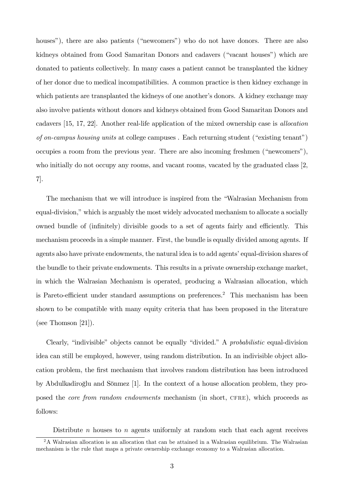houses"), there are also patients ("newcomers") who do not have donors. There are also kidneys obtained from Good Samaritan Donors and cadavers ("vacant houses") which are donated to patients collectively. In many cases a patient cannot be transplanted the kidney of her donor due to medical incompatibilities. A common practice is then kidney exchange in which patients are transplanted the kidneys of one another's donors. A kidney exchange may also involve patients without donors and kidneys obtained from Good Samaritan Donors and cadavers [15, 17, 22]. Another real-life application of the mixed ownership case is allocation of on-campus housing units at college campuses. Each returning student ("existing tenant") occupies a room from the previous year. There are also incoming freshmen  $("newcomes"),$ who initially do not occupy any rooms, and vacant rooms, vacated by the graduated class [2, 7].

The mechanism that we will introduce is inspired from the "Walrasian Mechanism from equal-division," which is arguably the most widely advocated mechanism to allocate a socially owned bundle of (infinitely) divisible goods to a set of agents fairly and efficiently. This mechanism proceeds in a simple manner. First, the bundle is equally divided among agents. If agents also have private endowments, the natural idea is to add agents' equal-division shares of the bundle to their private endowments. This results in a private ownership exchange market, in which the Walrasian Mechanism is operated, producing a Walrasian allocation, which is Pareto-efficient under standard assumptions on preferences.<sup>2</sup> This mechanism has been shown to be compatible with many equity criteria that has been proposed in the literature (see Thomson [21]).

Clearly, "indivisible" objects cannot be equally "divided." A *probabilistic* equal-division idea can still be employed, however, using random distribution. In an indivisible object allocation problem, the Örst mechanism that involves random distribution has been introduced by Abdulkadiroglu and Sönmez [1]. In the context of a house allocation problem, they proposed the *core from random endowments* mechanism (in short, CFRE), which proceeds as follows:

Distribute  $n$  houses to  $n$  agents uniformly at random such that each agent receives

<sup>2</sup>A Walrasian allocation is an allocation that can be attained in a Walrasian equilibrium. The Walrasian mechanism is the rule that maps a private ownership exchange economy to a Walrasian allocation.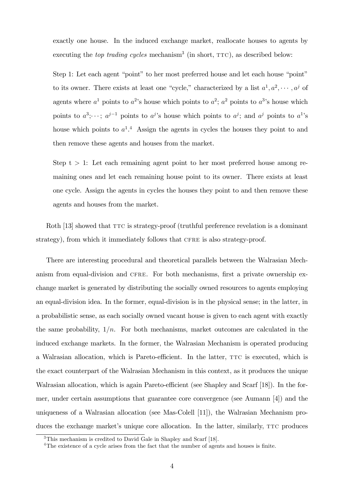exactly one house. In the induced exchange market, reallocate houses to agents by executing the *top trading cycles* mechanism<sup>3</sup> (in short,  $TTC$ ), as described below:

Step 1: Let each agent "point" to her most preferred house and let each house "point" to its owner. There exists at least one "cycle," characterized by a list  $a^1, a^2, \cdots, a^j$  of agents where  $a^1$  points to  $a^2$ 's house which points to  $a^2$ ;  $a^2$  points to  $a^3$ 's house which points to  $a^3$ ;  $\cdots$ ;  $a^{j-1}$  points to  $a^j$ 's house which points to  $a^j$ ; and  $a^j$  points to  $a^1$ 's house which points to  $a^{1,4}$  Assign the agents in cycles the houses they point to and then remove these agents and houses from the market.

Step  $t > 1$ : Let each remaining agent point to her most preferred house among remaining ones and let each remaining house point to its owner. There exists at least one cycle. Assign the agents in cycles the houses they point to and then remove these agents and houses from the market.

Roth [13] showed that TTC is strategy-proof (truthful preference revelation is a dominant strategy), from which it immediately follows that CFRE is also strategy-proof.

There are interesting procedural and theoretical parallels between the Walrasian Mechanism from equal-division and CFRE. For both mechanisms, first a private ownership exchange market is generated by distributing the socially owned resources to agents employing an equal-division idea. In the former, equal-division is in the physical sense; in the latter, in a probabilistic sense, as each socially owned vacant house is given to each agent with exactly the same probability,  $1/n$ . For both mechanisms, market outcomes are calculated in the induced exchange markets. In the former, the Walrasian Mechanism is operated producing a Walrasian allocation, which is Pareto-efficient. In the latter,  $TTC$  is executed, which is the exact counterpart of the Walrasian Mechanism in this context, as it produces the unique Walrasian allocation, which is again Pareto-efficient (see Shapley and Scarf [18]). In the former, under certain assumptions that guarantee core convergence (see Aumann [4]) and the uniqueness of a Walrasian allocation (see Mas-Colell [11]), the Walrasian Mechanism produces the exchange market's unique core allocation. In the latter, similarly, TTC produces

<sup>3</sup>This mechanism is credited to David Gale in Shapley and Scarf [18].

<sup>&</sup>lt;sup>4</sup>The existence of a cycle arises from the fact that the number of agents and houses is finite.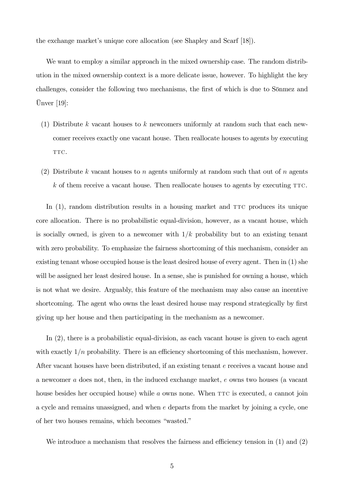the exchange market's unique core allocation (see Shapley and Scarf [18]).

We want to employ a similar approach in the mixed ownership case. The random distribution in the mixed ownership context is a more delicate issue, however. To highlight the key challenges, consider the following two mechanisms, the first of which is due to Sönmez and  $\text{Unver } [19]:$ 

- (1) Distribute k vacant houses to k newcomers uniformly at random such that each newcomer receives exactly one vacant house. Then reallocate houses to agents by executing TTC.
- (2) Distribute k vacant houses to n agents uniformly at random such that out of n agents  $k$  of them receive a vacant house. Then reallocate houses to agents by executing TTC.

In  $(1)$ , random distribution results in a housing market and TTC produces its unique core allocation. There is no probabilistic equal-division, however, as a vacant house, which is socially owned, is given to a newcomer with  $1/k$  probability but to an existing tenant with zero probability. To emphasize the fairness shortcoming of this mechanism, consider an existing tenant whose occupied house is the least desired house of every agent. Then in (1) she will be assigned her least desired house. In a sense, she is punished for owning a house, which is not what we desire. Arguably, this feature of the mechanism may also cause an incentive shortcoming. The agent who owns the least desired house may respond strategically by first giving up her house and then participating in the mechanism as a newcomer.

In (2), there is a probabilistic equal-division, as each vacant house is given to each agent with exactly  $1/n$  probability. There is an efficiency shortcoming of this mechanism, however. After vacant houses have been distributed, if an existing tenant e receives a vacant house and a newcomer a does not, then, in the induced exchange market, e owns two houses (a vacant house besides her occupied house) while  $a$  owns none. When  $TTC$  is executed,  $a$  cannot join a cycle and remains unassigned, and when e departs from the market by joining a cycle, one of her two houses remains, which becomes "wasted."

We introduce a mechanism that resolves the fairness and efficiency tension in  $(1)$  and  $(2)$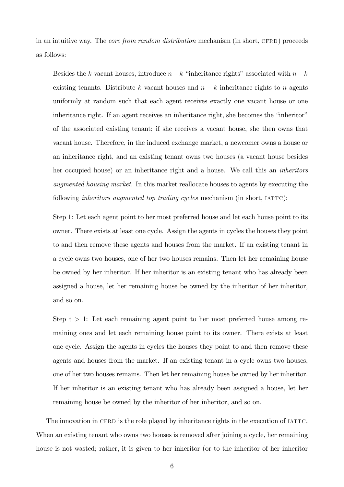in an intuitive way. The *core from random distribution* mechanism (in short, CFRD) proceeds as follows:

Besides the k vacant houses, introduce  $n-k$  "inheritance rights" associated with  $n-k$ existing tenants. Distribute k vacant houses and  $n - k$  inheritance rights to n agents uniformly at random such that each agent receives exactly one vacant house or one inheritance right. If an agent receives an inheritance right, she becomes the "inheritor" of the associated existing tenant; if she receives a vacant house, she then owns that vacant house. Therefore, in the induced exchange market, a newcomer owns a house or an inheritance right, and an existing tenant owns two houses (a vacant house besides her occupied house) or an inheritance right and a house. We call this an inheritors augmented housing market. In this market reallocate houses to agents by executing the following *inheritors augmented top trading cycles* mechanism (in short,  $IATTC$ ):

Step 1: Let each agent point to her most preferred house and let each house point to its owner. There exists at least one cycle. Assign the agents in cycles the houses they point to and then remove these agents and houses from the market. If an existing tenant in a cycle owns two houses, one of her two houses remains. Then let her remaining house be owned by her inheritor. If her inheritor is an existing tenant who has already been assigned a house, let her remaining house be owned by the inheritor of her inheritor, and so on.

Step  $t > 1$ : Let each remaining agent point to her most preferred house among remaining ones and let each remaining house point to its owner. There exists at least one cycle. Assign the agents in cycles the houses they point to and then remove these agents and houses from the market. If an existing tenant in a cycle owns two houses, one of her two houses remains. Then let her remaining house be owned by her inheritor. If her inheritor is an existing tenant who has already been assigned a house, let her remaining house be owned by the inheritor of her inheritor, and so on.

The innovation in CFRD is the role played by inheritance rights in the execution of IATTC. When an existing tenant who owns two houses is removed after joining a cycle, her remaining house is not wasted; rather, it is given to her inheritor (or to the inheritor of her inheritor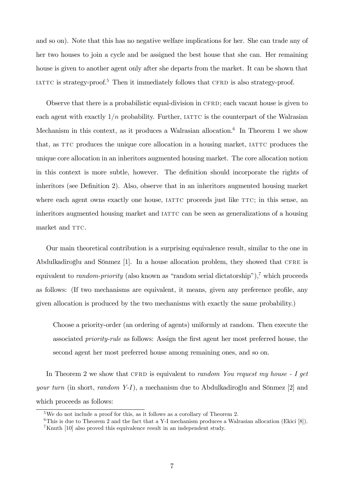and so on). Note that this has no negative welfare implications for her. She can trade any of her two houses to join a cycle and be assigned the best house that she can. Her remaining house is given to another agent only after she departs from the market. It can be shown that IATTC is strategy-proof.<sup>5</sup> Then it immediately follows that CFRD is also strategy-proof.

Observe that there is a probabilistic equal-division in CFRD; each vacant house is given to each agent with exactly  $1/n$  probability. Further, IATTC is the counterpart of the Walrasian Mechanism in this context, as it produces a Walrasian allocation.<sup>6</sup> In Theorem 1 we show that, as TTC produces the unique core allocation in a housing market, IATTC produces the unique core allocation in an inheritors augmented housing market. The core allocation notion in this context is more subtle, however. The definition should incorporate the rights of inheritors (see Definition 2). Also, observe that in an inheritors augmented housing market where each agent owns exactly one house, IATTC proceeds just like TTC; in this sense, an inheritors augmented housing market and  $IATTC$  can be seen as generalizations of a housing market and TTC.

Our main theoretical contribution is a surprising equivalence result, similar to the one in Abdulkadiroğlu and Sönmez [1]. In a house allocation problem, they showed that CFRE is equivalent to *random-priority* (also known as "random serial dictatorship"),<sup>7</sup> which proceeds as follows: (If two mechanisms are equivalent, it means, given any preference profile, any given allocation is produced by the two mechanisms with exactly the same probability.)

Choose a priority-order (an ordering of agents) uniformly at random. Then execute the associated *priority-rule* as follows: Assign the first agent her most preferred house, the second agent her most preferred house among remaining ones, and so on.

In Theorem 2 we show that CFRD is equivalent to *random You request my house*  $- I get$ your turn (in short, random Y-I), a mechanism due to Abdulkadiroglu and Sönmez  $[2]$  and which proceeds as follows:

<sup>5</sup>We do not include a proof for this, as it follows as a corollary of Theorem 2.

 $6$ This is due to Theorem 2 and the fact that a Y-I mechanism produces a Walrasian allocation (Ekici [8]). <sup>7</sup>Knuth [10] also proved this equivalence result in an independent study.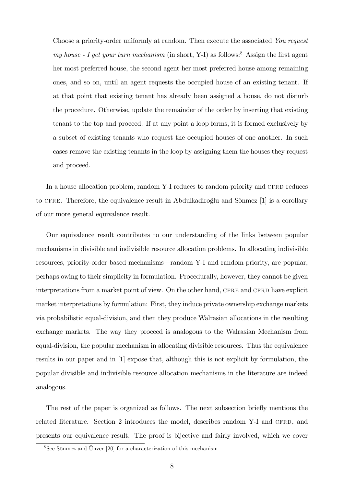Choose a priority-order uniformly at random. Then execute the associated You request my house - I get your turn mechanism (in short, Y-I) as follows:<sup>8</sup> Assign the first agent her most preferred house, the second agent her most preferred house among remaining ones, and so on, until an agent requests the occupied house of an existing tenant. If at that point that existing tenant has already been assigned a house, do not disturb the procedure. Otherwise, update the remainder of the order by inserting that existing tenant to the top and proceed. If at any point a loop forms, it is formed exclusively by a subset of existing tenants who request the occupied houses of one another. In such cases remove the existing tenants in the loop by assigning them the houses they request and proceed.

In a house allocation problem, random Y-I reduces to random-priority and CFRD reduces to CFRE. Therefore, the equivalence result in Abdulkadiroglu and Sönmez [1] is a corollary of our more general equivalence result.

Our equivalence result contributes to our understanding of the links between popular mechanisms in divisible and indivisible resource allocation problems. In allocating indivisible resources, priority-order based mechanisms—random Y-I and random-priority, are popular, perhaps owing to their simplicity in formulation. Procedurally, however, they cannot be given interpretations from a market point of view. On the other hand, CFRE and CFRD have explicit market interpretations by formulation: First, they induce private ownership exchange markets via probabilistic equal-division, and then they produce Walrasian allocations in the resulting exchange markets. The way they proceed is analogous to the Walrasian Mechanism from equal-division, the popular mechanism in allocating divisible resources. Thus the equivalence results in our paper and in [1] expose that, although this is not explicit by formulation, the popular divisible and indivisible resource allocation mechanisms in the literature are indeed analogous.

The rest of the paper is organized as follows. The next subsection briefly mentions the related literature. Section 2 introduces the model, describes random Y-I and CFRD, and presents our equivalence result. The proof is bijective and fairly involved, which we cover

 $8$ See Sönmez and Ünver [20] for a characterization of this mechanism.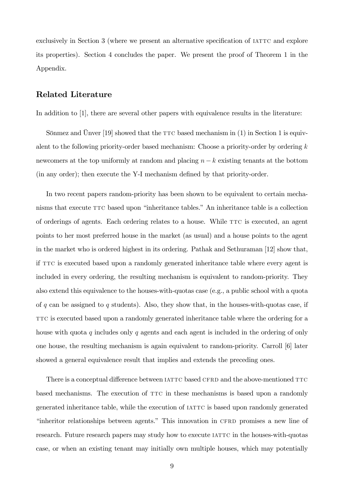exclusively in Section 3 (where we present an alternative specification of IATTC and explore its properties). Section 4 concludes the paper. We present the proof of Theorem 1 in the Appendix.

### Related Literature

In addition to [1], there are several other papers with equivalence results in the literature:

Sönmez and Unver [19] showed that the  $TTC$  based mechanism in (1) in Section 1 is equivalent to the following priority-order based mechanism: Choose a priority-order by ordering  $k$ newcomers at the top uniformly at random and placing  $n - k$  existing tenants at the bottom (in any order); then execute the Y-I mechanism defined by that priority-order.

In two recent papers random-priority has been shown to be equivalent to certain mechanisms that execute TTC based upon "inheritance tables." An inheritance table is a collection of orderings of agents. Each ordering relates to a house. While  $TTC$  is executed, an agent points to her most preferred house in the market (as usual) and a house points to the agent in the market who is ordered highest in its ordering. Pathak and Sethuraman [12] show that, if TTC is executed based upon a randomly generated inheritance table where every agent is included in every ordering, the resulting mechanism is equivalent to random-priority. They also extend this equivalence to the houses-with-quotas case (e.g., a public school with a quota of q can be assigned to q students). Also, they show that, in the houses-with-quotas case, if TTC is executed based upon a randomly generated inheritance table where the ordering for a house with quota q includes only q agents and each agent is included in the ordering of only one house, the resulting mechanism is again equivalent to random-priority. Carroll [6] later showed a general equivalence result that implies and extends the preceding ones.

There is a conceptual difference between IATTC based CFRD and the above-mentioned TTC based mechanisms. The execution of TTC in these mechanisms is based upon a randomly generated inheritance table, while the execution of IATTC is based upon randomly generated "inheritor relationships between agents." This innovation in CFRD promises a new line of research. Future research papers may study how to execute  $IATTC$  in the houses-with-quotas case, or when an existing tenant may initially own multiple houses, which may potentially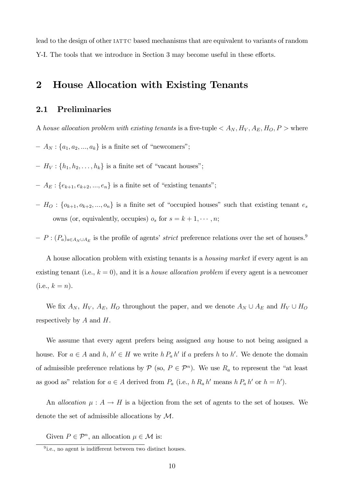lead to the design of other IATTC based mechanisms that are equivalent to variants of random Y-I. The tools that we introduce in Section 3 may become useful in these efforts.

## 2 House Allocation with Existing Tenants

### 2.1 Preliminaries

A house allocation problem with existing tenants is a five-tuple  $\langle A_N, H_V, A_E, H_O, P \rangle$  where

- $A_N$ : { $a_1, a_2, ..., a_k$ } is a finite set of "newcomers";
- $H_V: \{h_1, h_2, \ldots, h_k\}$  is a finite set of "vacant houses";
- $A_E$ : { $e_{k+1}, e_{k+2}, ..., e_n$ } is a finite set of "existing tenants";
- $H_0$ : { $o_{k+1}, o_{k+2}, ..., o_n$ } is a finite set of "occupied houses" such that existing tenant  $e_s$ owns (or, equivalently, occupies)  $o_s$  for  $s = k + 1, \dots, n;$
- $P = P : (P_a)_{a \in A_N \cup A_E}$  is the profile of agents' *strict* preference relations over the set of houses.<sup>9</sup>

A house allocation problem with existing tenants is a housing market if every agent is an existing tenant (i.e.,  $k = 0$ ), and it is a *house allocation problem* if every agent is a newcomer  $(i.e., k = n).$ 

We fix  $A_N$ ,  $H_V$ ,  $A_E$ ,  $H_O$  throughout the paper, and we denote  $A_N \cup A_E$  and  $H_V \cup H_O$ respectively by  $A$  and  $H$ .

We assume that every agent prefers being assigned *any* house to not being assigned a house. For  $a \in A$  and  $h, h' \in H$  we write  $h P_a h'$  if a prefers h to h'. We denote the domain of admissible preference relations by  $P$  (so,  $P \in \mathcal{P}^n$ ). We use  $R_a$  to represent the "at least as good as" relation for  $a \in A$  derived from  $P_a$  (i.e.,  $h R_a h'$  means  $h P_a h'$  or  $h = h'$ ).

An *allocation*  $\mu : A \to H$  is a bijection from the set of agents to the set of houses. We denote the set of admissible allocations by M.

Given  $P \in \mathcal{P}^n$ , an allocation  $\mu \in \mathcal{M}$  is:

 $9$ i.e., no agent is indifferent between two distinct houses.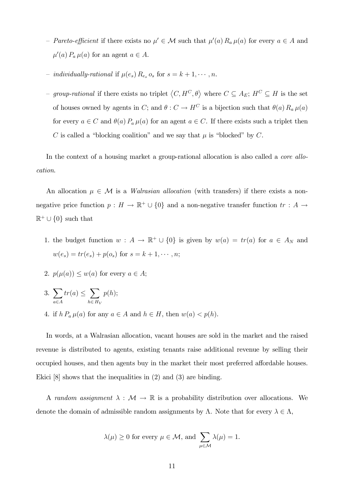- Pareto-efficient if there exists no  $\mu' \in \mathcal{M}$  such that  $\mu'(a) R_a \mu(a)$  for every  $a \in A$  and  $\mu'(a) P_a \mu(a)$  for an agent  $a \in A$ .
- *individually-rational* if  $\mu(e_s)$   $R_{e_s}$   $o_s$  for  $s = k + 1, \dots, n$ .
- group-rational if there exists no triplet  $\langle C, H^C, \theta \rangle$  where  $C \subseteq A_E$ ;  $H^C \subseteq H$  is the set of houses owned by agents in C; and  $\theta : C \to H^C$  is a bijection such that  $\theta(a) R_a \mu(a)$ for every  $a \in C$  and  $\theta(a) P_a \mu(a)$  for an agent  $a \in C$ . If there exists such a triplet then C is called a "blocking coalition" and we say that  $\mu$  is "blocked" by C.

In the context of a housing market a group-rational allocation is also called a *core allo*cation.

An allocation  $\mu \in \mathcal{M}$  is a *Walrasian allocation* (with transfers) if there exists a nonnegative price function  $p: H \to \mathbb{R}^+ \cup \{0\}$  and a non-negative transfer function  $tr: A \to$  $\mathbb{R}^+ \cup \{0\}$  such that

- 1. the budget function  $w : A \to \mathbb{R}^+ \cup \{0\}$  is given by  $w(a) = tr(a)$  for  $a \in A_N$  and  $w(e_s) = tr(e_s) + p(o_s)$  for  $s = k + 1, \dots, n;$
- 2.  $p(\mu(a)) \leq w(a)$  for every  $a \in A$ ;
- $3. \sum$  $a \in A$  $tr(a) \leq \sum$  $h\in H_V$  $p(h);$
- 4. if  $h P_a \mu(a)$  for any  $a \in A$  and  $h \in H$ , then  $w(a) < p(h)$ .

In words, at a Walrasian allocation, vacant houses are sold in the market and the raised revenue is distributed to agents, existing tenants raise additional revenue by selling their occupied houses, and then agents buy in the market their most preferred affordable houses. Ekici [8] shows that the inequalities in (2) and (3) are binding.

A random assignment  $\lambda : \mathcal{M} \to \mathbb{R}$  is a probability distribution over allocations. We denote the domain of admissible random assignments by  $\Lambda$ . Note that for every  $\lambda \in \Lambda$ ,

$$
\lambda(\mu) \ge 0
$$
 for every  $\mu \in \mathcal{M}$ , and  $\sum_{\mu \in \mathcal{M}} \lambda(\mu) = 1$ .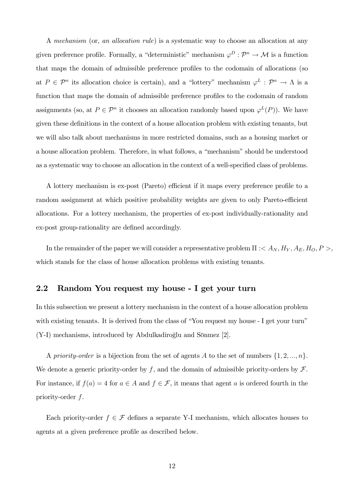A mechanism (or, an allocation rule) is a systematic way to choose an allocation at any given preference profile. Formally, a "deterministic" mechanism  $\varphi^D : \mathcal{P}^n \to \mathcal{M}$  is a function that maps the domain of admissible preference profiles to the codomain of allocations (so at  $P \in \mathcal{P}^n$  its allocation choice is certain), and a "lottery" mechanism  $\varphi^L : \mathcal{P}^n \to \Lambda$  is a function that maps the domain of admissible preference profiles to the codomain of random assignments (so, at  $P \in \mathcal{P}^n$  it chooses an allocation randomly based upon  $\varphi^L(P)$ ). We have given these definitions in the context of a house allocation problem with existing tenants, but we will also talk about mechanisms in more restricted domains, such as a housing market or a house allocation problem. Therefore, in what follows, a "mechanism" should be understood as a systematic way to choose an allocation in the context of a well-specified class of problems.

A lottery mechanism is ex-post (Pareto) efficient if it maps every preference profile to a random assignment at which positive probability weights are given to only Pareto-efficient allocations. For a lottery mechanism, the properties of ex-post individually-rationality and ex-post group-rationality are defined accordingly.

In the remainder of the paper we will consider a representative problem  $\Pi : < A_N, H_V, A_E, H_O, P >$ which stands for the class of house allocation problems with existing tenants.

### 2.2 Random You request my house - I get your turn

In this subsection we present a lottery mechanism in the context of a house allocation problem with existing tenants. It is derived from the class of "You request my house - I get your turn"  $(Y-I)$  mechanisms, introduced by Abdulkadiroglu and Sönmez [2].

A priority-order is a bijection from the set of agents A to the set of numbers  $\{1, 2, ..., n\}$ . We denote a generic priority-order by f, and the domain of admissible priority-orders by  $\mathcal F$ . For instance, if  $f(a) = 4$  for  $a \in A$  and  $f \in \mathcal{F}$ , it means that agent a is ordered fourth in the priority-order f.

Each priority-order  $f \in \mathcal{F}$  defines a separate Y-I mechanism, which allocates houses to agents at a given preference profile as described below.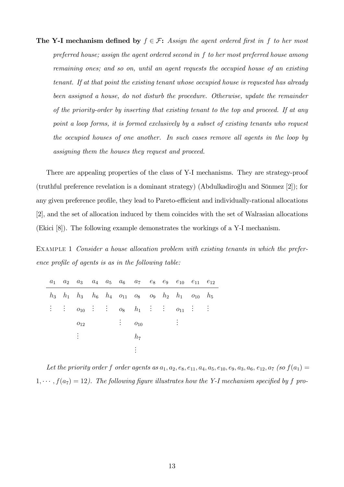The Y-I mechanism defined by  $f \in \mathcal{F}$ : Assign the agent ordered first in f to her most preferred house; assign the agent ordered second in f to her most preferred house among remaining ones; and so on, until an agent requests the occupied house of an existing tenant. If at that point the existing tenant whose occupied house is requested has already been assigned a house, do not disturb the procedure. Otherwise, update the remainder of the priority-order by inserting that existing tenant to the top and proceed. If at any point a loop forms, it is formed exclusively by a subset of existing tenants who request the occupied houses of one another. In such cases remove all agents in the loop by assigning them the houses they request and proceed.

There are appealing properties of the class of Y-I mechanisms. They are strategy-proof  $(\text{truthful preference revelation is a dominant strategy})$  (Abdulkadiroglu and Sönmez [2]); for any given preference profile, they lead to Pareto-efficient and individually-rational allocations [2], and the set of allocation induced by them coincides with the set of Walrasian allocations (Ekici [8]). The following example demonstrates the workings of a Y-I mechanism.

EXAMPLE 1 Consider a house allocation problem with existing tenants in which the preference profile of agents is as in the following table:

|  | $a_1$ $a_2$ $a_3$ $a_4$ $a_5$ $a_6$ $a_7$ $e_8$ $e_9$ $e_{10}$ $e_{11}$ $e_{12}$                      |  |                       |       |  |  |  |
|--|-------------------------------------------------------------------------------------------------------|--|-----------------------|-------|--|--|--|
|  | $h_3$ $h_1$ $h_3$ $h_6$ $h_4$ $o_{11}$ $o_8$ $o_9$ $h_2$ $h_1$ $o_{10}$ $h_5$                         |  |                       |       |  |  |  |
|  | $\vdots$ $\vdots$ $o_{10}$ $\vdots$ $\vdots$ $o_8$ $h_1$ $\vdots$ $\vdots$ $o_{11}$ $\vdots$ $\vdots$ |  |                       |       |  |  |  |
|  |                                                                                                       |  | $o_{12}$ : $o_{10}$ : |       |  |  |  |
|  | $\mathcal{L}$                                                                                         |  |                       | $h_7$ |  |  |  |
|  |                                                                                                       |  |                       |       |  |  |  |

Let the priority order f order agents as  $a_1, a_2, e_8, e_{11}, a_4, a_5, e_{10}, e_9, a_3, a_6, e_{12}, a_7$  (so  $f(a_1) =$  $1, \cdots, f(a_7) = 12$ ). The following figure illustrates how the Y-I mechanism specified by f pro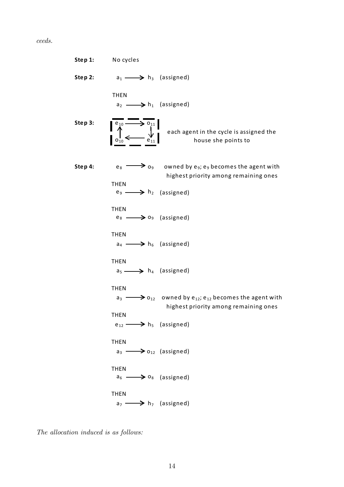ceeds.

**Step 1:** No cycles **Step 2:**  $a_1 \longrightarrow b_3$  (assigned) THEN  $a_2 \longrightarrow b_1$  (assigned) Step 3:  $\sqrt{\frac{e_{10}}{A}}$  $o_{10}$  e<sub>11</sub>  $\mathsf{Step\ 4:}\qquad \qquad e_8 \longrightarrow o_9\qquad \text{owned by } e_9;$   $e_9$  becomes the agent with THEN  $e_9 \longrightarrow h_2$  (assigned) THEN  $e_8 \longrightarrow o_9$  (assigned) THEN  $a_4 \longrightarrow h_6$  (assigned) THEN  $a_5 \longrightarrow h_4$  (assigned) THEN  ${\sf a}_{\scriptscriptstyle 3} \longrightarrow {\sf o}_{\scriptscriptstyle 12} \;$  owned by e $_{\scriptscriptstyle 12}$ ; e $_{\scriptscriptstyle 12}$  becomes the agent with **THFN**  $e_{12} \longrightarrow h_5$  (assigned) THEN  $a_3 \longrightarrow a_{12}$  (assigned) THEN  $a_6 \longrightarrow a_8$  (assigned) THEN  $a_7 \longrightarrow h_7$  (assigned) each agent in the cycle is assigned the house she points to highest priority among remaining ones highest priority among remaining ones

The allocation induced is as follows: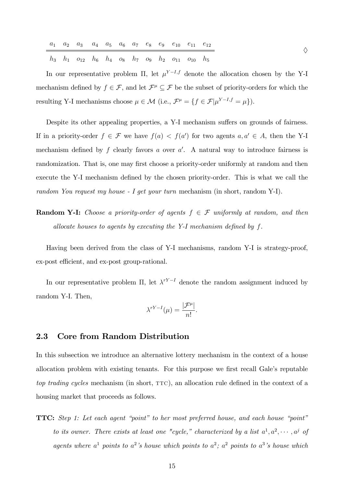|  |  |  |  |  | $a_1$ $a_2$ $a_3$ $a_4$ $a_5$ $a_6$ $a_7$ $e_8$ $e_9$ $e_{10}$ $e_{11}$ $e_{12}$ |  |
|--|--|--|--|--|----------------------------------------------------------------------------------|--|
|  |  |  |  |  | $h_3$ $h_1$ $o_{12}$ $h_6$ $h_4$ $o_8$ $h_7$ $o_9$ $h_2$ $o_{11}$ $o_{10}$ $h_5$ |  |

In our representative problem  $\Pi$ , let  $\mu^{Y-I,f}$  denote the allocation chosen by the Y-I mechanism defined by  $f \in \mathcal{F}$ , and let  $\mathcal{F}^{\mu} \subseteq \mathcal{F}$  be the subset of priority-orders for which the resulting Y-I mechanisms choose  $\mu \in \mathcal{M}$  (i.e.,  $\mathcal{F}^{\mu} = \{f \in \mathcal{F} | \mu^{Y-I,f} = \mu \}).$ 

Despite its other appealing properties, a Y-I mechanism suffers on grounds of fairness. If in a priority-order  $f \in \mathcal{F}$  we have  $f(a) < f(a')$  for two agents  $a, a' \in A$ , then the Y-I mechanism defined by  $f$  clearly favors  $a$  over  $a'$ . A natural way to introduce fairness is randomization. That is, one may first choose a priority-order uniformly at random and then execute the Y-I mechanism defined by the chosen priority-order. This is what we call the random You request my house - I get your turn mechanism (in short, random Y-I).

**Random Y-I:** Choose a priority-order of agents  $f \in \mathcal{F}$  uniformly at random, and then allocate houses to agents by executing the Y-I mechanism defined by  $f$ .

Having been derived from the class of Y-I mechanisms, random Y-I is strategy-proof, ex-post efficient, and ex-post group-rational.

In our representative problem  $\Pi$ , let  $\lambda^{rY-I}$  denote the random assignment induced by random Y-I. Then,

$$
\lambda^{rY-I}(\mu) = \frac{|\mathcal{F}^{\mu}|}{n!}.
$$

### 2.3 Core from Random Distribution

In this subsection we introduce an alternative lottery mechanism in the context of a house allocation problem with existing tenants. For this purpose we first recall Gale's reputable top trading cycles mechanism (in short,  $TTC$ ), an allocation rule defined in the context of a housing market that proceeds as follows.

**TTC:** Step 1: Let each agent "point" to her most preferred house, and each house "point" to its owner. There exists at least one "cycle," characterized by a list  $a^1, a^2, \cdots, a^j$  of agents where  $a^1$  points to  $a^2$ 's house which points to  $a^2$ ;  $a^2$  points to  $a^3$ 's house which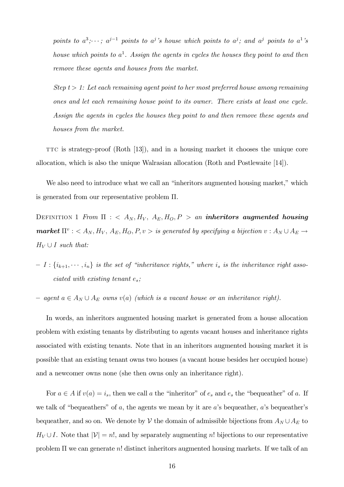points to  $a^3$ ;  $\cdots$ ;  $a^{j-1}$  points to  $a^j$ 's house which points to  $a^j$ ; and  $a^j$  points to  $a^1$ 's house which points to  $a^1$ . Assign the agents in cycles the houses they point to and then remove these agents and houses from the market.

Step  $t > 1$ : Let each remaining agent point to her most preferred house among remaining ones and let each remaining house point to its owner. There exists at least one cycle. Assign the agents in cycles the houses they point to and then remove these agents and houses from the market.

TTC is strategy-proof  $(Roth [13])$ , and in a housing market it chooses the unique core allocation, which is also the unique Walrasian allocation (Roth and Postlewaite [14]).

We also need to introduce what we call an "inheritors augmented housing market," which is generated from our representative problem  $\Pi$ .

DEFINITION 1 From  $\Pi$  : <  $A_N$ ,  $H_V$ ,  $A_E$ ,  $H_O$ ,  $P$  > an **inheritors augmented housing market**  $\Pi^v$  :  $\langle A_N, H_V, A_E, H_O, P, v \rangle$  is generated by specifying a bijection  $v : A_N \cup A_E \rightarrow$  $H_V \cup I$  such that:

- $I = I : \{i_{k+1}, \dots, i_n\}$  is the set of "inheritance rights," where  $i_s$  is the inheritance right associated with existing tenant  $e_s$ ;
- $a \in A_N \cup A_E$  owns  $v(a)$  (which is a vacant house or an inheritance right).

In words, an inheritors augmented housing market is generated from a house allocation problem with existing tenants by distributing to agents vacant houses and inheritance rights associated with existing tenants. Note that in an inheritors augmented housing market it is possible that an existing tenant owns two houses (a vacant house besides her occupied house) and a newcomer owns none (she then owns only an inheritance right).

For  $a \in A$  if  $v(a) = i_s$ , then we call a the "inheritor" of  $e_s$  and  $e_s$  the "bequeather" of a. If we talk of "bequeathers" of a, the agents we mean by it are a's bequeather, a's bequeather's bequeather, and so on. We denote by V the domain of admissible bijections from  $A_N \cup A_E$  to  $H_V \cup I$ . Note that  $|V| = n!$ , and by separately augmenting n! bijections to our representative problem  $\Pi$  we can generate n! distinct inheritors augmented housing markets. If we talk of an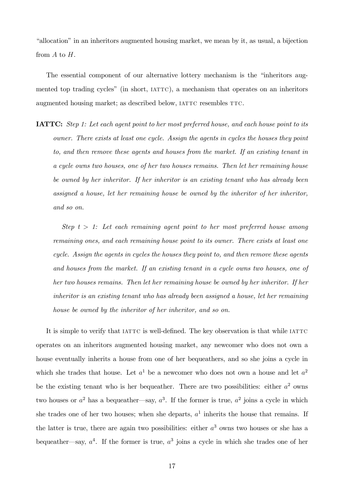"allocation" in an inheritors augmented housing market, we mean by it, as usual, a bijection from A to H.

The essential component of our alternative lottery mechanism is the "inheritors augmented top trading cycles" (in short, IATTC), a mechanism that operates on an inheritors augmented housing market; as described below, IATTC resembles TTC.

**IATTC:** Step 1: Let each agent point to her most preferred house, and each house point to its owner. There exists at least one cycle. Assign the agents in cycles the houses they point to, and then remove these agents and houses from the market. If an existing tenant in a cycle owns two houses, one of her two houses remains. Then let her remaining house be owned by her inheritor. If her inheritor is an existing tenant who has already been assigned a house, let her remaining house be owned by the inheritor of her inheritor, and so on.

Step  $t > 1$ : Let each remaining agent point to her most preferred house among remaining ones, and each remaining house point to its owner. There exists at least one cycle. Assign the agents in cycles the houses they point to, and then remove these agents and houses from the market. If an existing tenant in a cycle owns two houses, one of her two houses remains. Then let her remaining house be owned by her inheritor. If her inheritor is an existing tenant who has already been assigned a house, let her remaining house be owned by the inheritor of her inheritor, and so on.

It is simple to verify that IATTC is well-defined. The key observation is that while IATTC operates on an inheritors augmented housing market, any newcomer who does not own a house eventually inherits a house from one of her bequeathers, and so she joins a cycle in which she trades that house. Let  $a^1$  be a newcomer who does not own a house and let  $a^2$ be the existing tenant who is her bequeather. There are two possibilities: either  $a^2$  owns two houses or  $a^2$  has a bequeather—say,  $a^3$ . If the former is true,  $a^2$  joins a cycle in which she trades one of her two houses; when she departs,  $a<sup>1</sup>$  inherits the house that remains. If the latter is true, there are again two possibilities: either  $a<sup>3</sup>$  owns two houses or she has a bequeather—say,  $a^4$ . If the former is true,  $a^3$  joins a cycle in which she trades one of her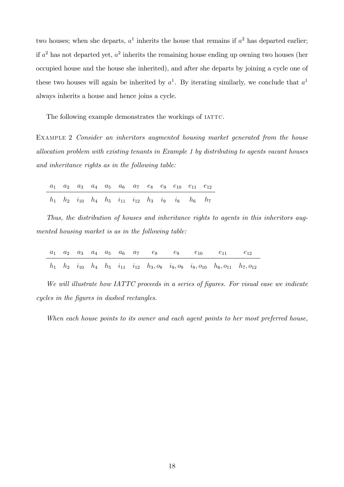two houses; when she departs,  $a^1$  inherits the house that remains if  $a^2$  has departed earlier; if  $a^2$  has not departed yet,  $a^2$  inherits the remaining house ending up owning two houses (her occupied house and the house she inherited), and after she departs by joining a cycle one of these two houses will again be inherited by  $a^1$ . By iterating similarly, we conclude that  $a^1$ always inherits a house and hence joins a cycle.

The following example demonstrates the workings of IATTC.

EXAMPLE 2 Consider an inheritors augmented housing market generated from the house allocation problem with existing tenants in Example 1 by distributing to agents vacant houses and inheritance rights as in the following table:

|  |  |  |  | $a_1$ $a_2$ $a_3$ $a_4$ $a_5$ $a_6$ $a_7$ $e_8$ $e_9$ $e_{10}$ $e_{11}$ $e_{12}$ |  |
|--|--|--|--|----------------------------------------------------------------------------------|--|
|  |  |  |  | $h_1$ $h_2$ $i_{10}$ $h_4$ $h_5$ $i_{11}$ $i_{12}$ $h_3$ $i_9$ $i_8$ $h_6$ $h_7$ |  |

Thus, the distribution of houses and inheritance rights to agents in this inheritors augmented housing market is as in the following table:

|  |  |  |  |  | $a_1$ $a_2$ $a_3$ $a_4$ $a_5$ $a_6$ $a_7$ $e_8$ $e_9$ $e_{10}$ $e_{11}$ $e_{12}$                                   |  |
|--|--|--|--|--|--------------------------------------------------------------------------------------------------------------------|--|
|  |  |  |  |  | $h_1$ $h_2$ $i_{10}$ $h_4$ $h_5$ $i_{11}$ $i_{12}$ $h_3, o_8$ $i_9, o_9$ $i_8, o_{10}$ $h_6, o_{11}$ $h_7, o_{12}$ |  |

We will illustrate how IATTC proceeds in a series of figures. For visual ease we indicate cycles in the figures in dashed rectangles.

When each house points to its owner and each agent points to her most preferred house,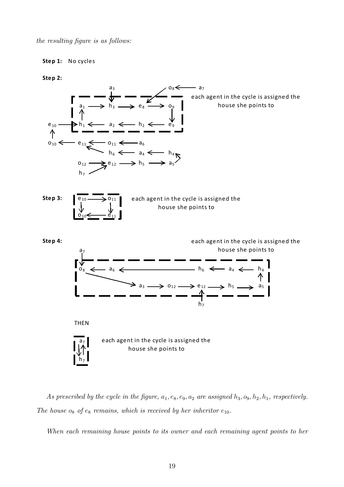the resulting figure is as follows:

### **Step 1:** No cycles

#### **Step 2:**



As prescribed by the cycle in the figure,  $a_1, e_8, e_9, a_2$  are assigned  $h_3, o_9, h_2, h_1$ , respectively. The house  $o_8$  of  $e_8$  remains, which is received by her inheritor  $e_{10}$ .

When each remaining house points to its owner and each remaining agent points to her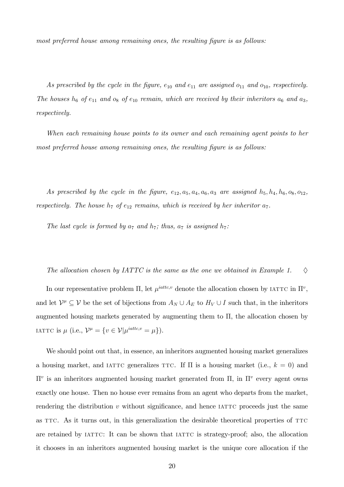most preferred house among remaining ones, the resulting figure is as follows:

As prescribed by the cycle in the figure,  $e_{10}$  and  $e_{11}$  are assigned  $o_{11}$  and  $o_{10}$ , respectively. The houses  $h_6$  of  $e_{11}$  and  $o_8$  of  $e_{10}$  remain, which are received by their inheritors  $a_6$  and  $a_3$ , respectively.

When each remaining house points to its owner and each remaining agent points to her most preferred house among remaining ones, the resulting figure is as follows:

As prescribed by the cycle in the figure,  $e_{12}$ ,  $a_5$ ,  $a_4$ ,  $a_6$ ,  $a_3$  are assigned  $h_5$ ,  $h_4$ ,  $h_6$ ,  $o_8$ ,  $o_{12}$ , respectively. The house  $h_7$  of  $e_{12}$  remains, which is received by her inheritor  $a_7$ .

The last cycle is formed by  $a_7$  and  $h_7$ ; thus,  $a_7$  is assigned  $h_7$ :

The allocation chosen by IATTC is the same as the one we obtained in Example 1.  $\diamond$ 

In our representative problem  $\Pi$ , let  $\mu^{iattice,v}$  denote the allocation chosen by IATTC in  $\Pi^v$ , and let  $\mathcal{V}^\mu \subseteq \mathcal{V}$  be the set of bijections from  $A_N \cup A_E$  to  $H_V \cup I$  such that, in the inheritors augmented housing markets generated by augmenting them to  $\Pi$ , the allocation chosen by IATTC is  $\mu$  (i.e.,  $\mathcal{V}^{\mu} = \{v \in \mathcal{V} | \mu^{iattc,v} = \mu \}).$ 

We should point out that, in essence, an inheritors augmented housing market generalizes a housing market, and IATTC generalizes TTC. If  $\Pi$  is a housing market (i.e.,  $k = 0$ ) and  $\Pi^v$  is an inheritors augmented housing market generated from  $\Pi$ , in  $\Pi^v$  every agent owns exactly one house. Then no house ever remains from an agent who departs from the market, rendering the distribution  $v$  without significance, and hence  $IATTC$  proceeds just the same as TTC. As it turns out, in this generalization the desirable theoretical properties of TTC are retained by IATTC: It can be shown that IATTC is strategy-proof; also, the allocation it chooses in an inheritors augmented housing market is the unique core allocation if the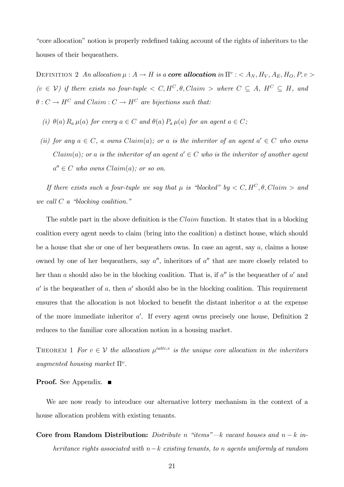"core allocation" notion is properly redefined taking account of the rights of inheritors to the houses of their bequeathers.

DEFINITION 2 An allocation  $\mu : A \to H$  is a **core allocation** in  $\Pi^v : \langle A_N, H_V, A_E, H_O, P, v \rangle$  $(v \in V)$  if there exists no four-tuple  $\langle C, H^C, \theta, Claim \rangle$  where  $C \subseteq A$ ,  $H^C \subseteq H$ , and  $\theta: C \to H^C$  and  $Claim: C \to H^C$  are bijections such that:

- (i)  $\theta(a)$   $R_a \mu(a)$  for every  $a \in C$  and  $\theta(a)$   $P_a \mu(a)$  for an agent  $a \in C$ ;
- (ii) for any  $a \in C$ , a owns  $Claim(a)$ ; or a is the inheritor of an agent  $a' \in C$  who owns  $Claim(a)$ ; or a is the inheritor of an agent  $a' \in C$  who is the inheritor of another agent  $a'' \in C$  who owns  $Claim(a);$  or so on.

If there exists such a four-tuple we say that  $\mu$  is "blocked" by  $\langle C, H^C, \theta, Claim \rangle$  and we call  $C$  a "blocking coalition."

The subtle part in the above definition is the  $Claim$  function. It states that in a blocking coalition every agent needs to claim (bring into the coalition) a distinct house, which should be a house that she or one of her bequeathers owns. In case an agent, say a, claims a house owned by one of her bequeathers, say  $a''$ , inheritors of  $a''$  that are more closely related to her than a should also be in the blocking coalition. That is, if  $a''$  is the bequeather of  $a'$  and  $a'$  is the bequeather of a, then  $a'$  should also be in the blocking coalition. This requirement ensures that the allocation is not blocked to benefit the distant inheritor  $a$  at the expense of the more immediate inheritor  $a'$ . If every agent owns precisely one house, Definition 2 reduces to the familiar core allocation notion in a housing market.

THEOREM 1 For  $v \in V$  the allocation  $\mu^{iattice,v}$  is the unique core allocation in the inheritors augmented housing market  $\Pi^v$ .

#### **Proof.** See Appendix. ■

We are now ready to introduce our alternative lottery mechanism in the context of a house allocation problem with existing tenants.

Core from Random Distribution: Distribute n "items"— $k$  vacant houses and  $n - k$  inheritance rights associated with  $n-k$  existing tenants, to n agents uniformly at random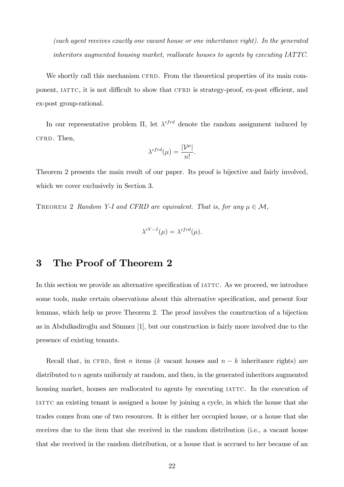(each agent receives exactly one vacant house or one inheritance right). In the generated inheritors augmented housing market, reallocate houses to agents by executing IATTC.

We shortly call this mechanism CFRD. From the theoretical properties of its main component, IATTC, it is not difficult to show that CFRD is strategy-proof, ex-post efficient, and ex-post group-rational.

In our representative problem  $\Pi$ , let  $\lambda^{cfrd}$  denote the random assignment induced by cfrd. Then,

$$
\lambda^{cfrd}(\mu) = \frac{|\mathcal{V}^{\mu}|}{n!}.
$$

Theorem 2 presents the main result of our paper. Its proof is bijective and fairly involved, which we cover exclusively in Section 3.

THEOREM 2 Random Y-I and CFRD are equivalent. That is, for any  $\mu \in \mathcal{M}$ ,

$$
\lambda^{rY-I}(\mu) = \lambda^{cfrd}(\mu).
$$

# 3 The Proof of Theorem 2

In this section we provide an alternative specification of IATTC. As we proceed, we introduce some tools, make certain observations about this alternative specification, and present four lemmas, which help us prove Theorem 2. The proof involves the construction of a bijection as in Abdulkadiroglu and Sönmez  $[1]$ , but our construction is fairly more involved due to the presence of existing tenants.

Recall that, in CFRD, first n items (k vacant houses and  $n - k$  inheritance rights) are distributed to *n* agents uniformly at random, and then, in the generated inheritors augmented housing market, houses are reallocated to agents by executing IATTC. In the execution of iattc an existing tenant is assigned a house by joining a cycle, in which the house that she trades comes from one of two resources. It is either her occupied house, or a house that she receives due to the item that she received in the random distribution (i.e., a vacant house that she received in the random distribution, or a house that is accrued to her because of an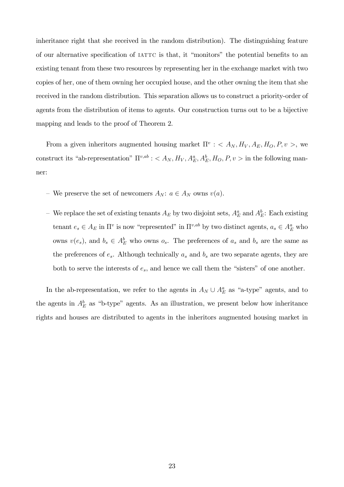inheritance right that she received in the random distribution). The distinguishing feature of our alternative specification of IATTC is that, it "monitors" the potential benefits to an existing tenant from these two resources by representing her in the exchange market with two copies of her, one of them owning her occupied house, and the other owning the item that she received in the random distribution. This separation allows us to construct a priority-order of agents from the distribution of items to agents. Our construction turns out to be a bijective mapping and leads to the proof of Theorem 2.

From a given inheritors augmented housing market  $\Pi^v$  : <  $A_N$ ,  $H_V$ ,  $A_E$ ,  $H_O$ ,  $P$ ,  $v >$ , we construct its "ab-representation"  $\Pi^{v,ab}$ : <  $A_N$ ,  $H_V$ ,  $A_E^a$ ,  $A_E^b$ ,  $H_O$ ,  $P$ ,  $v >$  in the following manner:

- We preserve the set of newcomers  $A_N$ :  $a \in A_N$  owns  $v(a)$ .
- $-$  We replace the set of existing tenants  $A_E$  by two disjoint sets,  $A_E^a$  and  $A_E^b$ : Each existing tenant  $e_s \in A_E$  in  $\Pi^v$  is now "represented" in  $\Pi^{v,ab}$  by two distinct agents,  $a_s \in A_E^a$  who owns  $v(e_s)$ , and  $b_s \in A_E^b$  who owns  $o_s$ . The preferences of  $a_s$  and  $b_s$  are the same as the preferences of  $e_s$ . Although technically  $a_s$  and  $b_s$  are two separate agents, they are both to serve the interests of  $e_s$ , and hence we call them the "sisters" of one another.

In the ab-representation, we refer to the agents in  $A_N \cup A_E^a$  as "a-type" agents, and to the agents in  $A_E^b$  as "b-type" agents. As an illustration, we present below how inheritance rights and houses are distributed to agents in the inheritors augmented housing market in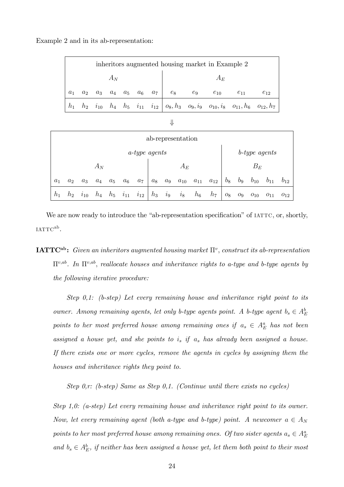Example 2 and in its ab-representation:

|                                                                                                                                      | inheritors augmented housing market in Example 2 |                                                         |       |  |  |  |       |       |          |          |          |  |  |  |  |
|--------------------------------------------------------------------------------------------------------------------------------------|--------------------------------------------------|---------------------------------------------------------|-------|--|--|--|-------|-------|----------|----------|----------|--|--|--|--|
|                                                                                                                                      |                                                  |                                                         | $A_N$ |  |  |  | $A_E$ |       |          |          |          |  |  |  |  |
| $a_1$                                                                                                                                | a <sub>2</sub>                                   | $a_3 \quad a_4 \quad a_5 \quad a_6 \quad a_7 \quad e_8$ |       |  |  |  |       | $e_9$ | $e_{10}$ | $e_{11}$ | $e_{12}$ |  |  |  |  |
| $h_2$ $i_{10}$ $h_4$ $h_5$ $i_{11}$ $i_{12}$ $o_8$ , $h_3$ $o_9$ , $i_9$ $o_{10}$ , $i_8$ $o_{11}$ , $h_6$ $o_{12}$ , $h_7$<br>$h_1$ |                                                  |                                                         |       |  |  |  |       |       |          |          |          |  |  |  |  |

| ×  | ۰. |
|----|----|
| ٦  | ٧  |
| f  | I  |
| ×. | ٦  |
|    |    |

|                      | ab-representation |          |       |       |          |          |       |         |          |          |          |                  |       |          |          |          |  |  |
|----------------------|-------------------|----------|-------|-------|----------|----------|-------|---------|----------|----------|----------|------------------|-------|----------|----------|----------|--|--|
| <i>a-type agents</i> |                   |          |       |       |          |          |       |         |          |          |          | $b$ -type agents |       |          |          |          |  |  |
| $A_N$                |                   |          |       |       |          |          |       | $A_E$   |          |          |          |                  |       | $B_E\,$  |          |          |  |  |
| $a_1$                | a <sub>2</sub>    | $a_3$    | $a_4$ | $a_5$ | $a_6$    | $a_7$    | $a_8$ | $a_9$   | $a_{10}$ | $a_{11}$ | $a_{12}$ | $b_8$            | $b_9$ | $b_{10}$ | $b_{11}$ | $b_{12}$ |  |  |
| $h_1$                | $h_2$             | $i_{10}$ | $h_4$ | $h_5$ | $i_{11}$ | $i_{12}$ | $h_3$ | $i_{9}$ | $i_8$    | $h_6$    | $h_7$    | $O_8$            | $O_9$ | $O_{10}$ | $O_{11}$ | $O_{12}$ |  |  |

We are now ready to introduce the "ab-representation specification" of IATTC, or, shortly,  $IATTC^{ab}.$ 

 $\mathbf{IATTC^{ab}}\text{:}~~Given~an~inheritors~augmented~housing~market~\Pi^v,~construct~its~ab-representation$  $\Pi^{v,ab}$ . In  $\Pi^{v,ab}$ , reallocate houses and inheritance rights to a-type and b-type agents by the following iterative procedure:

Step 0,1: (b-step) Let every remaining house and inheritance right point to its owner. Among remaining agents, let only b-type agents point. A b-type agent  $b_s \in A_E^b$ points to her most preferred house among remaining ones if  $a_s \in A_E^a$  has not been assigned a house yet, and she points to  $i_s$  if  $a_s$  has already been assigned a house. If there exists one or more cycles, remove the agents in cycles by assigning them the houses and inheritance rights they point to.

Step  $0, r$ : (b-step) Same as Step  $0, 1$ . (Continue until there exists no cycles)

Step 1,0: (a-step) Let every remaining house and inheritance right point to its owner. Now, let every remaining agent (both a-type and b-type) point. A newcomer  $a \in A_N$ points to her most preferred house among remaining ones. Of two sister agents  $a_s \in A_E^a$ and  $b_s \in A_E^b$ , if neither has been assigned a house yet, let them both point to their most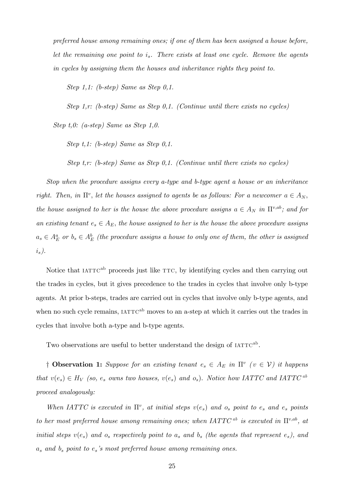preferred house among remaining ones; if one of them has been assigned a house before, let the remaining one point to  $i_s$ . There exists at least one cycle. Remove the agents in cycles by assigning them the houses and inheritance rights they point to.

Step 1,1: (b-step) Same as Step 0,1.

Step 1,r: (b-step) Same as Step 0,1. (Continue until there exists no cycles)

Step t,0: (a-step) Same as Step 1,0.

Step t,1: (b-step) Same as Step 0,1.

Step t,r: (b-step) Same as Step 0,1. (Continue until there exists no cycles)

Stop when the procedure assigns every a-type and b-type agent a house or an inheritance right. Then, in  $\Pi^v$ , let the houses assigned to agents be as follows: For a newcomer  $a \in A_N$ , the house assigned to her is the house the above procedure assigns  $a \in A_N$  in  $\Pi^{v,ab}$ ; and for an existing tenant  $e_s \in A_E$ , the house assigned to her is the house the above procedure assigns  $a_s \in A_E^a$  or  $b_s \in A_E^b$  (the procedure assigns a house to only one of them, the other is assigned  $i_s$ ).

Notice that  $IATTC^{ab}$  proceeds just like  $TTC$ , by identifying cycles and then carrying out the trades in cycles, but it gives precedence to the trades in cycles that involve only b-type agents. At prior b-steps, trades are carried out in cycles that involve only b-type agents, and when no such cycle remains,  $IATTC<sup>ab</sup>$  moves to an a-step at which it carries out the trades in cycles that involve both a-type and b-type agents.

Two observations are useful to better understand the design of  $IATTC<sup>ab</sup>$ .

<sup> $\dagger$ </sup> Observation 1: Suppose for an existing tenant  $e_s \in A_E$  in  $\Pi^v$  ( $v \in V$ ) it happens that  $v(e_s) \in H_V$  (so,  $e_s$  owns two houses,  $v(e_s)$  and  $o_s$ ). Notice how IATTC and IATTC <sup>ab</sup> proceed analogously:

When IATTC is executed in  $\Pi^v$ , at initial steps  $v(e_s)$  and  $o_s$  point to  $e_s$  and  $e_s$  points to her most preferred house among remaining ones; when IATTC<sup>ab</sup> is executed in  $\Pi^{v,ab}$ , at initial steps  $v(e_s)$  and  $o_s$  respectively point to  $a_s$  and  $b_s$  (the agents that represent  $e_s$ ), and  $a_s$  and  $b_s$  point to  $e_s$ 's most preferred house among remaining ones.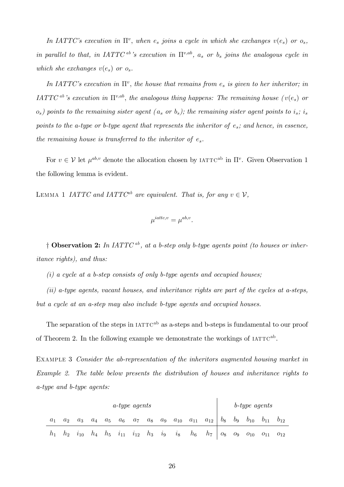In IATTC's execution in  $\Pi^v$ , when  $e_s$  joins a cycle in which she exchanges  $v(e_s)$  or  $o_s$ , in parallel to that, in IATTC<sup>ab</sup>'s execution in  $\Pi^{v,ab}$ ,  $a_s$  or  $b_s$  joins the analogous cycle in which she exchanges  $v(e_s)$  or  $o_s$ .

In IATTC's execution in  $\Pi^v$ , the house that remains from  $e_s$  is given to her inheritor; in IATTC<sup>ab</sup>'s execution in  $\Pi^{v,ab}$ , the analogous thing happens: The remaining house ( $v(e_s)$ ) or  $o_s$ ) points to the remaining sister agent ( $a_s$  or  $b_s$ ); the remaining sister agent points to  $i_s$ ;  $i_s$ points to the a-type or b-type agent that represents the inheritor of  $e_s$ ; and hence, in essence, the remaining house is transferred to the inheritor of  $e_s$ .

For  $v \in V$  let  $\mu^{ab,v}$  denote the allocation chosen by IATTC<sup>ab</sup> in  $\Pi^v$ . Given Observation 1 the following lemma is evident.

LEMMA 1 IATTC and IATTC<sup>ab</sup> are equivalent. That is, for any  $v \in V$ ,

$$
\mu^{iatic,v} = \mu^{ab,v}.
$$

<sup> $\dagger$ </sup> Observation 2: In IATTC<sup>ab</sup>, at a b-step only b-type agents point (to houses or inheritance rights), and thus:

(i) a cycle at a b-step consists of only b-type agents and occupied houses;

(ii) a-type agents, vacant houses, and inheritance rights are part of the cycles at a-steps, but a cycle at an a-step may also include b-type agents and occupied houses.

The separation of the steps in  $IATTC<sup>ab</sup>$  as a-steps and b-steps is fundamental to our proof of Theorem 2. In the following example we demonstrate the workings of  $IATTC<sup>ab</sup>$ .

EXAMPLE 3 Consider the ab-representation of the inheritors augmented housing market in Example 2. The table below presents the distribution of houses and inheritance rights to a-type and b-type agents:

| <i>a-type agents</i> |       |          |       |       |                      |                      |  |  |                      |       |                         | b-type agents |       |          |                   |  |  |
|----------------------|-------|----------|-------|-------|----------------------|----------------------|--|--|----------------------|-------|-------------------------|---------------|-------|----------|-------------------|--|--|
| $a_1$                | $a_2$ | $a_3$    | $a_4$ | $a_5$ | $a_6$                | $a_7$                |  |  | $a_8$ $a_9$ $a_{10}$ |       | $a_{11}$ $a_{12}$ $b_8$ |               | $b_9$ | $b_{10}$ | $b_{11}$ $b_{12}$ |  |  |
|                      | $h_2$ | $i_{10}$ |       |       | $h_4$ $h_5$ $i_{11}$ | $i_{12}$ $h_3$ $i_9$ |  |  | $i_8$                | $h_6$ | $h_7 \mid o_8$          |               | $O_9$ | $O_{10}$ | $o_{11}$ $o_{12}$ |  |  |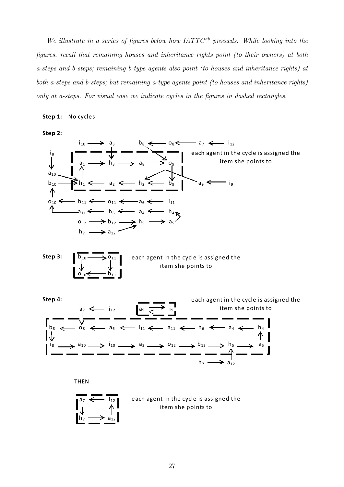We illustrate in a series of figures below how  $IATTC^{ab}$  proceeds. While looking into the Ögures, recall that remaining houses and inheritance rights point (to their owners) at both a-steps and b-steps; remaining b-type agents also point (to houses and inheritance rights) at both a-steps and b-steps; but remaining a-type agents point (to houses and inheritance rights) only at a-steps. For visual ease we indicate cycles in the figures in dashed rectangles.

#### **Step 1:** No cycles

**Step 2:**



THEN



each agent in the cycle is assigned the item she points to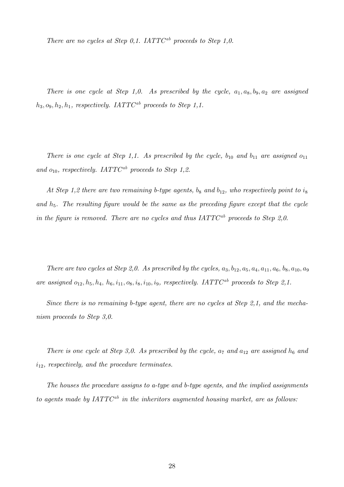There are no cycles at Step 0,1. IATTC<sup>ab</sup> proceeds to Step 1,0.

There is one cycle at Step 1,0. As prescribed by the cycle,  $a_1, a_8, b_9, a_2$  are assigned  $h_3, o_9, h_2, h_1$ , respectively. IATTC<sup>ab</sup> proceeds to Step 1,1.

There is one cycle at Step 1,1. As prescribed by the cycle,  $b_{10}$  and  $b_{11}$  are assigned  $o_{11}$ and  $o_{10}$ , respectively. IATTC<sup>ab</sup> proceeds to Step 1,2.

At Step 1,2 there are two remaining b-type agents,  $b_8$  and  $b_{12}$ , who respectively point to  $i_8$ and  $h_5$ . The resulting figure would be the same as the preceding figure except that the cycle in the figure is removed. There are no cycles and thus  $IATTC^{ab}$  proceeds to Step 2,0.

There are two cycles at Step 2,0. As prescribed by the cycles,  $a_3$ ,  $b_{12}$ ,  $a_5$ ,  $a_4$ ,  $a_{11}$ ,  $a_6$ ,  $b_8$ ,  $a_{10}$ ,  $a_9$ are assigned  $o_{12}$ ,  $h_5$ ,  $h_4$ ,  $h_6$ ,  $i_{11}$ ,  $o_8$ ,  $i_8$ ,  $i_{10}$ ,  $i_9$ , respectively. IATTC<sup>ab</sup> proceeds to Step 2,1.

Since there is no remaining b-type agent, there are no cycles at Step 2,1, and the mechanism proceeds to Step 3,0.

There is one cycle at Step 3,0. As prescribed by the cycle,  $a_7$  and  $a_{12}$  are assigned  $h_6$  and  $i_{12}$ , respectively, and the procedure terminates.

The houses the procedure assigns to a-type and b-type agents, and the implied assignments to agents made by  $IATTC^{ab}$  in the inheritors augmented housing market, are as follows: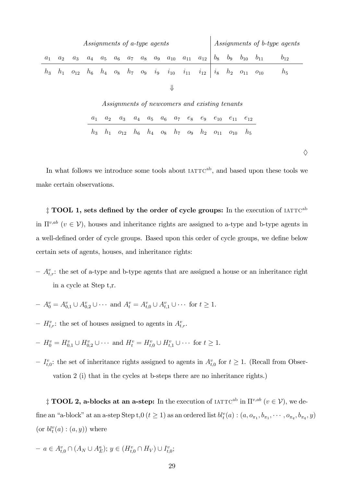| Assignments of a-type agents |                                                                                                                                                                       |  |  |  |  |  |  |  |  |  |                                                                                                             | Assignments of b-type agents |  |  |  |          |  |
|------------------------------|-----------------------------------------------------------------------------------------------------------------------------------------------------------------------|--|--|--|--|--|--|--|--|--|-------------------------------------------------------------------------------------------------------------|------------------------------|--|--|--|----------|--|
| $a_1$                        | $a_5 \quad a_6 \quad a_7 \quad a_8 \quad a_9 \quad a_{10} \quad a_{11} \quad a_{12} \mid b_8 \quad b_9 \quad b_{10} \quad b_{11}$<br>$a_4$<br>a <sub>2</sub><br>$a_3$ |  |  |  |  |  |  |  |  |  |                                                                                                             |                              |  |  |  | $v_{12}$ |  |
| $h_{3}$                      |                                                                                                                                                                       |  |  |  |  |  |  |  |  |  | $h_1$ $o_{12}$ $h_6$ $h_4$ $o_8$ $h_7$ $o_9$ $i_9$ $i_{10}$ $i_{11}$ $i_{12}$ $i_8$ $h_2$ $o_{11}$ $o_{10}$ |                              |  |  |  | $h_5$    |  |
|                              |                                                                                                                                                                       |  |  |  |  |  |  |  |  |  |                                                                                                             |                              |  |  |  |          |  |

Assignments of newcomers and existing tenants  $a_1$   $a_2$   $a_3$   $a_4$   $a_5$   $a_6$   $a_7$   $e_8$   $e_9$   $e_{10}$   $e_{11}$   $e_{12}$  $h_3$   $h_1$   $o_{12}$   $h_6$   $h_4$   $o_8$   $h_7$   $o_9$   $h_2$   $o_{11}$   $o_{10}$   $h_5$ 

♦

In what follows we introduce some tools about  $IATTC<sup>ab</sup>$ , and based upon these tools we make certain observations.

 $\ddagger$  TOOL 1, sets defined by the order of cycle groups: In the execution of IATTC<sup>ab</sup> in  $\Pi^{v,ab}$   $(v \in V)$ , houses and inheritance rights are assigned to a-type and b-type agents in a well-defined order of cycle groups. Based upon this order of cycle groups, we define below certain sets of agents, houses, and inheritance rights:

- $A_{t,r}^v$ : the set of a-type and b-type agents that are assigned a house or an inheritance right in a cycle at Step t,r.
- $A_0^v = A_{0,1}^v \cup A_{0,2}^v \cup \cdots$  and  $A_t^v = A_{t,0}^v \cup A_{t,1}^v \cup \cdots$  for  $t \ge 1$ .
- $-H_{t,r}^v$ : the set of houses assigned to agents in  $A_{t,r}^v$ .
- $H_0^v = H_{0,1}^v \cup H_{0,2}^v \cup \cdots$  and  $H_t^v = H_{t,0}^v \cup H_{t,1}^v \cup \cdots$  for  $t \ge 1$ .
- $-I_{t,0}^v$ : the set of inheritance rights assigned to agents in  $A_{t,0}^v$  for  $t \geq 1$ . (Recall from Observation 2 (i) that in the cycles at b-steps there are no inheritance rights.)

<sup> $\ddagger$ </sup> **TOOL 2, a-blocks at an a-step:** In the execution of  $IATTC^{ab}$  in  $\Pi^{v,ab}$  ( $v \in V$ ), we define an "a-block" at an a-step Step t,0 ( $t \ge 1$ ) as an ordered list  $bl_t^v(a)$  :  $(a, o_{\pi_1}, b_{\pi_1}, \cdots, o_{\pi_q}, b_{\pi_q}, y)$ (or  $bl_t^v(a)$  :  $(a, y)$ ) where

$$
- a \in A_{t,0}^v \cap (A_N \cup A_E^a); y \in (H_{t,0}^v \cap H_V) \cup I_{t,0}^v;
$$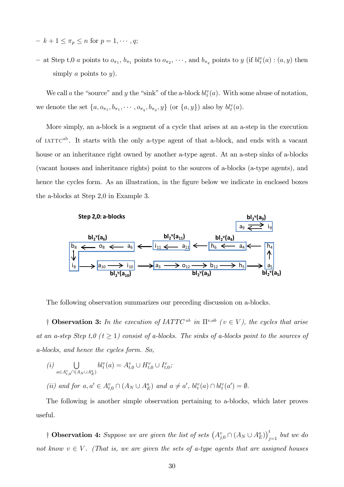- $k + 1 \leq \pi_p \leq n$  for  $p = 1, \dots, q;$
- at Step t,0 *a* points to  $o_{\pi_1}$ ,  $b_{\pi_1}$  points to  $o_{\pi_2}$ ,  $\dots$ , and  $b_{\pi_q}$  points to *y* (if  $bl_t^v(a)$  :  $(a, y)$  then simply a points to  $y$ ).

We call a the "source" and y the "sink" of the a-block  $bl_t^v(a)$ . With some abuse of notation, we denote the set  $\{a, o_{\pi_1}, b_{\pi_1}, \cdots, o_{\pi_q}, b_{\pi_q}, y\}$  (or  $\{a, y\}$ ) also by  $bl_t^v(a)$ .

More simply, an a-block is a segment of a cycle that arises at an a-step in the execution of  $IATTC^{ab}$ . It starts with the only a-type agent of that a-block, and ends with a vacant house or an inheritance right owned by another a-type agent. At an a-step sinks of a-blocks (vacant houses and inheritance rights) point to the sources of a-blocks (a-type agents), and hence the cycles form. As an illustration, in the figure below we indicate in enclosed boxes the a-blocks at Step 2,0 in Example 3.



The following observation summarizes our preceding discussion on a-blocks.

<sup>†</sup> Observation 3: In the execution of IATTC<sup>ab</sup> in  $\Pi^{v,ab}$  ( $v \in V$ ), the cycles that arise at an a-step Step t,  $0$  ( $t \geq 1$ ) consist of a-blocks. The sinks of a-blocks point to the sources of a-blocks, and hence the cycles form. So,

$$
(i) \bigcup_{a \in A_{t,0}^v \cap (A_N \cup A_E^a)} bl_t^v(a) = A_{t,0}^v \cup H_{t,0}^v \cup I_{t,0}^v;
$$
  
(ii) and for  $a, a' \in A_{t,0}^v \cap (A_N \cup A_E^a)$  and  $a \neq a', bl_t^v(a) \cap bl_t^v(a') = \emptyset.$ 

The following is another simple observation pertaining to a-blocks, which later proves useful.

<sup>†</sup> Observation 4: Suppose we are given the list of sets  $(A_{j,0}^v \cap (A_N \cup A_E^a))_{j=1}^t$  but we do not know  $v \in V$ . (That is, we are given the sets of a-type agents that are assigned houses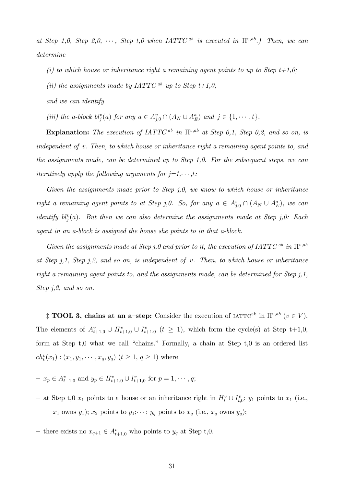at Step 1,0, Step 2,0,  $\cdots$ , Step t,0 when IATTC<sup>ab</sup> is executed in  $\Pi^{v,ab}$ .) Then, we can determine

- (i) to which house or inheritance right a remaining agent points to up to Step  $t+1,0;$
- (ii) the assignments made by IATTC<sup>ab</sup> up to Step  $t+1,0;$
- and we can identify
- (iii) the a-block  $bl_j^v(a)$  for any  $a \in A_{j,0}^v \cap (A_N \cup A_E^a)$  and  $j \in \{1, \cdots, t\}$ .

Explanation: The execution of  $IATTC^{ab}$  in  $\Pi^{v,ab}$  at Step 0,1, Step 0,2, and so on, is independent of v. Then, to which house or inheritance right a remaining agent points to, and the assignments made, can be determined up to Step 1,0. For the subsequent steps, we can iteratively apply the following arguments for  $j=1, \dots, t$ :

Given the assignments made prior to Step  $j, 0$ , we know to which house or inheritance right a remaining agent points to at Step j,0. So, for any  $a \in A_{j,0}^v \cap (A_N \cup A_E^a)$ , we can identify  $bl_j^v(a)$ . But then we can also determine the assignments made at Step j,0: Each agent in an a-block is assigned the house she points to in that a-block.

Given the assignments made at Step j,0 and prior to it, the execution of IATTC<sup>ab</sup> in  $\Pi^{v,ab}$ at Step j,1, Step j,2, and so on, is independent of v. Then, to which house or inheritance right a remaining agent points to, and the assignments made, can be determined for Step  $i, 1$ , Step j,2, and so on.

<sup> $\ddagger$ </sup> **TOOL 3, chains at an a-step:** Consider the execution of IATTC<sup>ab</sup> in  $\Pi^{v,ab}$  ( $v \in V$ ). The elements of  $A_{t+1,0}^v \cup H_{t+1,0}^v \cup I_{t+1,0}^v$  ( $t \ge 1$ ), which form the cycle(s) at Step t+1,0, form at Step  $t,0$  what we call "chains." Formally, a chain at Step  $t,0$  is an ordered list  $ch_t^v(x_1) : (x_1, y_1, \dots, x_q, y_q)$   $(t \ge 1, q \ge 1)$  where

- $x_p \in A_{t+1,0}^v \text{ and } y_p \in H_{t+1,0}^v \cup I_{t+1,0}^v \text{ for } p = 1, \cdots, q;$
- at Step t,0  $x_1$  points to a house or an inheritance right in  $H_t^v \cup I_{t,0}^v$ ;  $y_1$  points to  $x_1$  (i.e.,  $x_1$  owns  $y_1$ );  $x_2$  points to  $y_1$ ;  $\cdots$ ;  $y_q$  points to  $x_q$  (i.e.,  $x_q$  owns  $y_q$ );
- there exists no  $x_{q+1} \in A_{t+1,0}^v$  who points to  $y_q$  at Step t,0.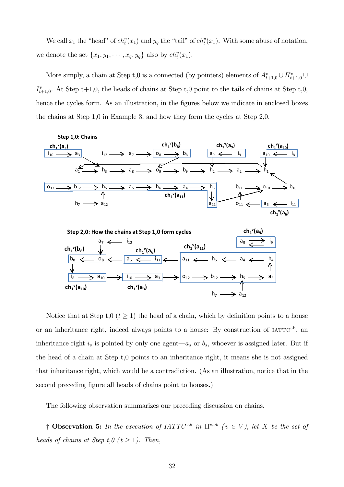We call  $x_1$  the "head" of  $ch_t^v(x_1)$  and  $y_q$  the "tail" of  $ch_t^v(x_1)$ . With some abuse of notation, we denote the set  $\{x_1, y_1, \cdots, x_q, y_q\}$  also by  $ch_t^v(x_1)$ .

More simply, a chain at Step t,0 is a connected (by pointers) elements of  $A_{t+1,0}^v \cup H_{t+1,0}^v \cup$  $I_{t+1,0}^v$ . At Step t+1,0, the heads of chains at Step t,0 point to the tails of chains at Step t,0, hence the cycles form. As an illustration, in the figures below we indicate in enclosed boxes the chains at Step 1,0 in Example 3, and how they form the cycles at Step 2,0.





Notice that at Step t,  $0$  ( $t \ge 1$ ) the head of a chain, which by definition points to a house or an inheritance right, indeed always points to a house: By construction of  $IATTC<sup>ab</sup>$ , an inheritance right  $i_s$  is pointed by only one agent $-a_s$  or  $b_s$ , whoever is assigned later. But if the head of a chain at Step t,0 points to an inheritance right, it means she is not assigned that inheritance right, which would be a contradiction. (As an illustration, notice that in the second preceding figure all heads of chains point to houses.)

The following observation summarizes our preceding discussion on chains.

<sup>†</sup> Observation 5: In the execution of IATTC<sup>ab</sup> in  $\Pi^{v,ab}$  ( $v \in V$ ), let X be the set of heads of chains at Step t,  $0$  ( $t \ge 1$ ). Then,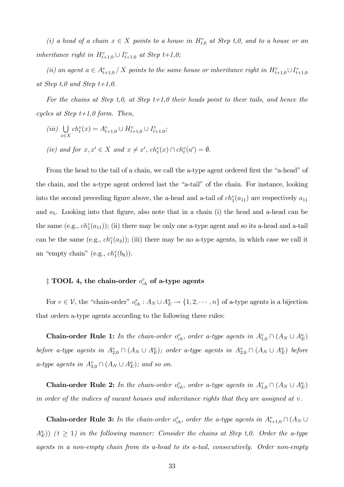(i) a head of a chain  $x \in X$  points to a house in  $H_{t,0}^v$  at Step t,0, and to a house or an inheritance right in  $H_{t+1,0}^v \cup I_{t+1,0}^v$  at Step  $t+1,0;$ 

(ii) an agent  $a \in A_{t+1,0}^v / X$  points to the same house or inheritance right in  $H_{t+1,0}^v \cup I_{t+1,0}^v$ at Step  $t,0$  and Step  $t+1,0$ .

For the chains at Step t,0, at Step  $t+1,0$  their heads point to their tails, and hence the cycles at Step  $t+1,0$  form. Then,

- $(iii)$  $x \in X$  $ch_t^v(x) = A_{t+1,0}^v \cup H_{t+1,0}^v \cup I_{t+1,0}^v;$
- (iv) and for  $x, x' \in X$  and  $x \neq x'$ ,  $ch_t^v(x) \cap ch_t^v(a') = \emptyset$ .

From the head to the tail of a chain, we call the a-type agent ordered first the "a-head" of the chain, and the a-type agent ordered last the "a-tail" of the chain. For instance, looking into the second preceding figure above, the a-head and a-tail of  $ch_1^v(a_{11})$  are respectively  $a_{11}$ and  $a_5$ . Looking into that figure, also note that in a chain (i) the head and a-head can be the same (e.g.,  $ch_1^v(a_{11})$ ); (ii) there may be only one a-type agent and so its a-head and a-tail can be the same  $(e.g., ch_1^v(a_3))$ ; (iii) there may be no a-type agents, in which case we call it an "empty chain" (e.g.,  $ch_1^v(b_8)$ ).

# $\ddagger$  TOOL 4, the chain-order  $o^v_{ch}$  of a-type agents

For  $v \in V$ , the "chain-order"  $o_{ch}^v : A_N \cup A_E^a \to \{1, 2, \dots, n\}$  of a-type agents is a bijection that orders a-type agents according to the following three rules:

**Chain-order Rule 1:** In the chain-order  $o_{ch}^v$ , order a-type agents in  $A_{1,0}^v \cap (A_N \cup A_E^a)$ before a-type agents in  $A_{2,0}^v \cap (A_N \cup A_E^a)$ ; order a-type agents in  $A_{2,0}^v \cap (A_N \cup A_E^a)$  before a-type agents in  $A_{3,0}^v \cap (A_N \cup A_E^a)$ ; and so on.

**Chain-order Rule 2:** In the chain-order  $o_{ch}^v$ , order a-type agents in  $A_{1,0}^v \cap (A_N \cup A_E^a)$ in order of the indices of vacant houses and inheritance rights that they are assigned at  $v$ .

**Chain-order Rule 3:** In the chain-order  $o_{ch}^v$ , order the a-type agents in  $A_{t+1,0}^v \cap (A_N \cup$  $(A_E^a)$ )  $(t \geq 1)$  in the following manner: Consider the chains at Step t,0. Order the a-type agents in a non-empty chain from its a-head to its a-tail, consecutively. Order non-empty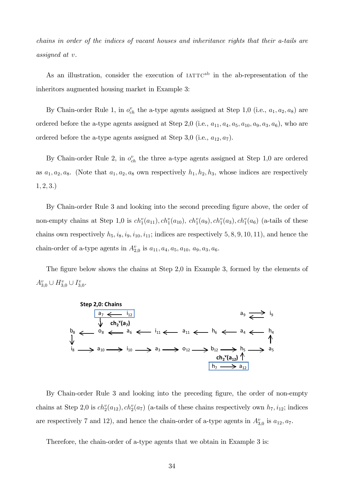chains in order of the indices of vacant houses and inheritance rights that their a-tails are assigned at v.

As an illustration, consider the execution of  $IATTC^{ab}$  in the ab-representation of the inheritors augmented housing market in Example 3:

By Chain-order Rule 1, in  $o_{ch}^v$  the a-type agents assigned at Step 1,0 (i.e.,  $a_1, a_2, a_8$ ) are ordered before the a-type agents assigned at Step 2,0 (i.e.,  $a_{11}, a_4, a_5, a_{10}, a_9, a_3, a_6$ ), who are ordered before the a-type agents assigned at Step 3,0 (i.e.,  $a_{12}, a_7$ ).

By Chain-order Rule 2, in  $o_{ch}^v$  the three a-type agents assigned at Step 1,0 are ordered as  $a_1, a_2, a_8$ . (Note that  $a_1, a_2, a_8$  own respectively  $h_1, h_2, h_3$ , whose indices are respectively  $1, 2, 3.$ 

By Chain-order Rule 3 and looking into the second preceding figure above, the order of non-empty chains at Step 1,0 is  $ch_1^v(a_{11}), ch_1^v(a_{10}), ch_1^v(a_9), ch_1^v(a_3), ch_1^v(a_6)$  (a-tails of these chains own respectively  $h_5$ ,  $i_8$ ,  $i_9$ ,  $i_{10}$ ,  $i_{11}$ ; indices are respectively 5, 8, 9, 10, 11), and hence the chain-order of a-type agents in  $A_{2,0}^v$  is  $a_{11}, a_4, a_5, a_{10}, a_9, a_3, a_6$ .

The figure below shows the chains at Step 2,0 in Example 3, formed by the elements of  $A_{3,0}^v \cup H_{3,0}^v \cup I_{3,0}^v.$ 



By Chain-order Rule 3 and looking into the preceding figure, the order of non-empty chains at Step 2,0 is  $ch_2^v(a_{12}), ch_2^v(a_7)$  (a-tails of these chains respectively own  $h_7, i_{12}$ ; indices are respectively 7 and 12), and hence the chain-order of a-type agents in  $A_{3,0}^v$  is  $a_{12}, a_7$ .

Therefore, the chain-order of a-type agents that we obtain in Example 3 is: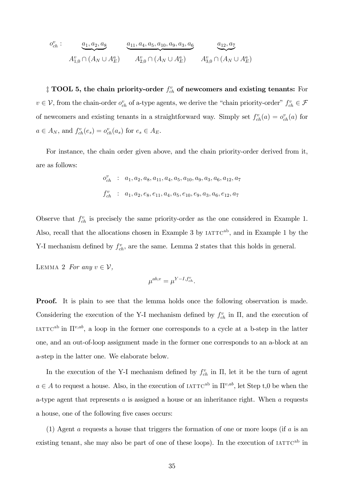$$
o_{ch}^v: \underbrace{a_1, a_2, a_8}_{A_{1,0}^v \cap (A_N \cup A_E^a)} \underbrace{a_{11}, a_4, a_5, a_{10}, a_9, a_3, a_6}_{A_{2,0}^v \cap (A_N \cup A_E^a)} \underbrace{a_{12}, a_7}_{A_{3,0}^v \cap (A_N \cup A_E^a)}
$$

 $\ddagger$  TOOL 5, the chain priority-order  $f^v_{ch}$  of newcomers and existing tenants: For  $v \in V$ , from the chain-order  $o_{ch}^v$  of a-type agents, we derive the "chain priority-order"  $f_{ch}^v \in \mathcal{F}$ of newcomers and existing tenants in a straightforward way. Simply set  $f_{ch}^v(a) = o_{ch}^v(a)$  for  $a \in A_N$ , and  $f_{ch}^v(e_s) = o_{ch}^v(a_s)$  for  $e_s \in A_E$ .

For instance, the chain order given above, and the chain priority-order derived from it, are as follows:

$$
o_{ch}^v : a_1, a_2, a_8, a_{11}, a_4, a_5, a_{10}, a_9, a_3, a_6, a_{12}, a_7
$$
  

$$
f_{ch}^v : a_1, a_2, e_8, e_{11}, a_4, a_5, e_{10}, e_9, a_3, a_6, e_{12}, a_7
$$

Observe that  $f_{ch}^v$  is precisely the same priority-order as the one considered in Example 1. Also, recall that the allocations chosen in Example 3 by  $IATTC<sup>ab</sup>$ , and in Example 1 by the Y-I mechanism defined by  $f_{ch}^v$ , are the same. Lemma 2 states that this holds in general.

LEMMA 2 For any  $v \in \mathcal{V}$ ,

$$
\mu^{ab,v} = \mu^{Y-I, f^v_{ch}}.
$$

**Proof.** It is plain to see that the lemma holds once the following observation is made. Considering the execution of the Y-I mechanism defined by  $f_{ch}^v$  in  $\Pi$ , and the execution of IATTC<sup>ab</sup> in  $\Pi^{v,ab}$ , a loop in the former one corresponds to a cycle at a b-step in the latter one, and an out-of-loop assignment made in the former one corresponds to an a-block at an a-step in the latter one. We elaborate below.

In the execution of the Y-I mechanism defined by  $f_{ch}^v$  in  $\Pi$ , let it be the turn of agent  $a \in A$  to request a house. Also, in the execution of IATTC<sup>ab</sup> in  $\Pi^{v,ab}$ , let Step t,0 be when the a-type agent that represents  $a$  is assigned a house or an inheritance right. When  $a$  requests a house, one of the following five cases occurs:

(1) Agent a requests a house that triggers the formation of one or more loops (if a is an existing tenant, she may also be part of one of these loops). In the execution of  $IATTC<sup>ab</sup>$  in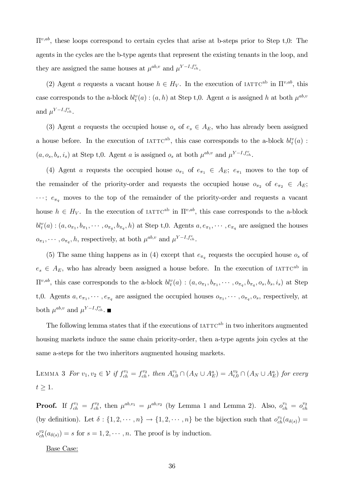$\Pi^{\nu,ab}$ , these loops correspond to certain cycles that arise at b-steps prior to Step t,0: The agents in the cycles are the b-type agents that represent the existing tenants in the loop, and they are assigned the same houses at  $\mu^{ab,v}$  and  $\mu^{Y-I,f^v_{ch}}$ .

(2) Agent a requests a vacant house  $h \in H_V$ . In the execution of IATTC<sup>ab</sup> in  $\Pi^{v,ab}$ , this case corresponds to the a-block  $bl_t^v(a)$ :  $(a, h)$  at Step t,0. Agent a is assigned h at both  $\mu^{ab, v}$ and  $\mu^{Y-I,f^v_{ch}}$ .

(3) Agent a requests the occupied house  $o_s$  of  $e_s \in A_E$ , who has already been assigned a house before. In the execution of  $IATTC^{ab}$ , this case corresponds to the a-block  $bl_t^v(a)$ :  $(a, o_s, b_s, i_s)$  at Step t,0. Agent a is assigned  $o_s$  at both  $\mu^{ab,v}$  and  $\mu^{Y-I, f_{ch}^v}$ .

(4) Agent a requests the occupied house  $o_{\pi_1}$  of  $e_{\pi_1} \in A_E$ ;  $e_{\pi_1}$  moves to the top of the remainder of the priority-order and requests the occupied house  $o_{\pi_2}$  of  $e_{\pi_2} \in A_E$ ;  $\cdots$ ;  $e_{\pi_q}$  moves to the top of the remainder of the priority-order and requests a vacant house  $h \in H_V$ . In the execution of IATTC<sup>ab</sup> in  $\Pi^{v,ab}$ , this case corresponds to the a-block  $bl_t^v(a):(a, o_{\pi_1}, b_{\pi_1}, \cdots, o_{\pi_q}, b_{\pi_q}, h)$  at Step t,0. Agents  $a, e_{\pi_1}, \cdots, e_{\pi_q}$  are assigned the houses  $o_{\pi_1}, \cdots, o_{\pi_q}, h$ , respectively, at both  $\mu^{ab,v}$  and  $\mu^{Y-I, f_{ch}^v}$ .

(5) The same thing happens as in (4) except that  $e_{\pi_q}$  requests the occupied house  $o_s$  of  $e_s \in A_E$ , who has already been assigned a house before. In the execution of IATTC<sup>ab</sup> in  $\Pi^{v,ab}$ , this case corresponds to the a-block  $bl_t^v(a)$ :  $(a, o_{\pi_1}, b_{\pi_1}, \cdots, o_{\pi_q}, b_{\pi_q}, o_s, b_s, i_s)$  at Step t,0. Agents  $a, e_{\pi_1}, \cdots, e_{\pi_q}$  are assigned the occupied houses  $o_{\pi_1}, \cdots, o_{\pi_q}, o_s$ , respectively, at both  $\mu^{ab,v}$  and  $\mu^{Y-I,f^v_{ch}}$ .

The following lemma states that if the executions of  $IATTC<sup>ab</sup>$  in two inheritors augmented housing markets induce the same chain priority-order, then a-type agents join cycles at the same a-steps for the two inheritors augmented housing markets.

LEMMA 3 For  $v_1, v_2 \in V$  if  $f_{ch}^{v_1} = f_{ch}^{v_2}$ , then  $A_{t,0}^{v_1} \cap (A_N \cup A_E^a) = A_{t,0}^{v_2} \cap (A_N \cup A_E^a)$  for every  $t \geq 1$ .

**Proof.** If  $f_{ch}^{v_1} = f_{ch}^{v_2}$ , then  $\mu^{ab,v_1} = \mu^{ab,v_2}$  (by Lemma 1 and Lemma 2). Also,  $o_{ch}^{v_1} = o_{ch}^{v_2}$ (by definition). Let  $\delta: \{1, 2, \dots, n\} \to \{1, 2, \dots, n\}$  be the bijection such that  $o_{ch}^{v_1}(a_{\delta(s)}) =$  $o_{ch}^{v_2}(a_{\delta(s)}) = s$  for  $s = 1, 2, \cdots, n$ . The proof is by induction.

Base Case: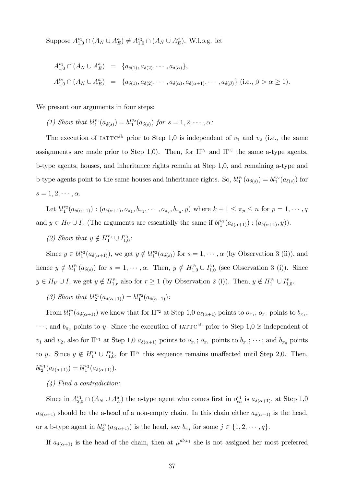Suppose  $A_{1,0}^{v_1} \cap (A_N \cup A_E^a) \neq A_{1,0}^{v_2} \cap (A_N \cup A_E^a)$ . W.l.o.g. let

$$
A_{1,0}^{v_1} \cap (A_N \cup A_E^a) = \{a_{\delta(1)}, a_{\delta(2)}, \cdots, a_{\delta(\alpha)}\},
$$
  
\n
$$
A_{1,0}^{v_2} \cap (A_N \cup A_E^a) = \{a_{\delta(1)}, a_{\delta(2)}, \cdots, a_{\delta(\alpha)}, a_{\delta(\alpha+1)}, \cdots, a_{\delta(\beta)}\} \text{ (i.e., } \beta > \alpha \ge 1\text{).}
$$

We present our arguments in four steps:

(1) Show that  $bl_1^{v_1}(a_{\delta(s)}) = bl_1^{v_2}(a_{\delta(s)})$  for  $s = 1, 2, \cdots, \alpha$ :

The execution of  $IATTC<sup>ab</sup>$  prior to Step 1,0 is independent of  $v_1$  and  $v_2$  (i.e., the same assignments are made prior to Step 1,0). Then, for  $\Pi^{v_1}$  and  $\Pi^{v_2}$  the same a-type agents, b-type agents, houses, and inheritance rights remain at Step 1,0, and remaining a-type and b-type agents point to the same houses and inheritance rights. So,  $bl_1^{v_1}(a_{\delta(s)}) = bl_1^{v_2}(a_{\delta(s)})$  for  $s = 1, 2, \cdots, \alpha.$ 

Let  $bl_1^{v_2}(a_{\delta(\alpha+1)}):(a_{\delta(\alpha+1)},o_{\pi_1},b_{\pi_1},\cdots,o_{\pi_q},b_{\pi_q},y)$  where  $k+1\leq \pi_p\leq n$  for  $p=1,\cdots,q$ and  $y \in H_V \cup I$ . (The arguments are essentially the same if  $bl_1^{v_2}(a_{\delta(\alpha+1)}) : (a_{\delta(\alpha+1)}, y)$ ).

(2) Show that  $y \notin H_1^{v_1} \cup I_{1,0}^{v_1}$ .

Since  $y \in bl_1^{v_2}(a_{\delta(\alpha+1)})$ , we get  $y \notin bl_1^{v_2}(a_{\delta(s)})$  for  $s = 1, \dots, \alpha$  (by Observation 3 (ii)), and hence  $y \notin bl_1^{v_1}(a_{\delta(s)})$  for  $s = 1, \dots, \alpha$ . Then,  $y \notin H_{1,0}^{v_1} \cup I_{1,0}^{v_1}$  (see Observation 3 (i)). Since  $y \in H_V \cup I$ , we get  $y \notin H_{1,r}^{v_1}$  also for  $r \ge 1$  (by Observation 2 (i)). Then,  $y \notin H_1^{v_1} \cup I_{1,0}^{v_1}$ .

(3) Show that  $bl_2^{v_1}(a_{\delta(\alpha+1)}) = bl_1^{v_2}(a_{\delta(\alpha+1)})$ :

From  $bl_1^{v_2}(a_{\delta(\alpha+1)})$  we know that for  $\Pi^{v_2}$  at Step 1,0  $a_{\delta(\alpha+1)}$  points to  $o_{\pi_1}$ ;  $o_{\pi_1}$  points to  $b_{\pi_1}$ ;  $\cdots$ ; and  $b_{\pi_q}$  points to y. Since the execution of IATTC<sup>ab</sup> prior to Step 1,0 is independent of  $v_1$  and  $v_2$ , also for  $\Pi^{v_1}$  at Step 1,0  $a_{\delta(\alpha+1)}$  points to  $o_{\pi_1}$ ;  $o_{\pi_1}$  points to  $b_{\pi_1}$ ;  $\dots$ ; and  $b_{\pi_q}$  points to y. Since  $y \notin H_1^{v_1} \cup I_{1,0}^{v_1}$ , for  $\Pi^{v_1}$  this sequence remains unaffected until Step 2,0. Then,  $bl_2^{v_1}(a_{\delta(\alpha+1)}) = bl_1^{v_2}(a_{\delta(\alpha+1)}).$ 

#### (4) Find a contradiction:

Since in  $A_{2,0}^{v_1} \cap (A_N \cup A_E^a)$  the a-type agent who comes first in  $o_{ch}^{v_1}$  is  $a_{\delta(\alpha+1)}$ , at Step 1,0  $a_{\delta(\alpha+1)}$  should be the a-head of a non-empty chain. In this chain either  $a_{\delta(\alpha+1)}$  is the head, or a b-type agent in  $bl_2^{v_1}(a_{\delta(\alpha+1)})$  is the head, say  $b_{\pi_j}$  for some  $j \in \{1, 2, \cdots, q\}$ .

If  $a_{\delta(\alpha+1)}$  is the head of the chain, then at  $\mu^{ab,v_1}$  she is not assigned her most preferred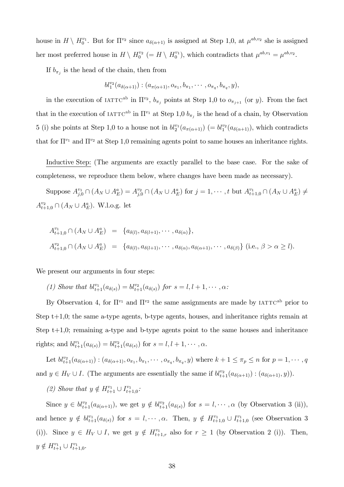house in  $H \setminus H_0^{v_1}$ . But for  $\Pi^{v_2}$  since  $a_{\delta(\alpha+1)}$  is assigned at Step 1,0, at  $\mu^{ab,v_2}$  she is assigned her most preferred house in  $H \setminus H_0^{v_2} (= H \setminus H_0^{v_1})$ , which contradicts that  $\mu^{ab,v_1} = \mu^{ab,v_2}$ .

If  $b_{\pi_j}$  is the head of the chain, then from

$$
bl_1^{v_2}(a_{\delta(\alpha+1)}):(a_{\pi(\alpha+1)},o_{\pi_1},b_{\pi_1},\cdots,o_{\pi_q},b_{\pi_q},y),
$$

in the execution of IATTC<sup>ab</sup> in  $\Pi^{v_2}$ ,  $b_{\pi_j}$  points at Step 1,0 to  $o_{\pi_{j+1}}$  (or y). From the fact that in the execution of  $IATTC^{ab}$  in  $\Pi^{v_1}$  at Step 1,0  $b_{\pi_j}$  is the head of a chain, by Observation 5 (i) she points at Step 1,0 to a house not in  $bl_2^{v_1}(a_{\pi(\alpha+1)}) (= bl_1^{v_2}(a_{\delta(\alpha+1)})$ , which contradicts that for  $\Pi^{v_1}$  and  $\Pi^{v_2}$  at Step 1,0 remaining agents point to same houses an inheritance rights.

Inductive Step: (The arguments are exactly parallel to the base case. For the sake of completeness, we reproduce them below, where changes have been made as necessary).

Suppose  $A^{v_1}_{j,0} \cap (A_N \cup A_E^a) = A^{v_2}_{j,0} \cap (A_N \cup A_E^a)$  for  $j = 1, \dots, t$  but  $A^{v_1}_{t+1,0} \cap (A_N \cup A_E^a) \neq$  $A_{t+1,0}^{v_2} \cap (A_N \cup A_E^a)$ . W.l.o.g. let

$$
A_{t+1,0}^{v_1} \cap (A_N \cup A_E^a) = \{a_{\delta(l)}, a_{\delta(l+1)}, \cdots, a_{\delta(\alpha)}\},
$$
  

$$
A_{t+1,0}^{v_2} \cap (A_N \cup A_E^a) = \{a_{\delta(l)}, a_{\delta(l+1)}, \cdots, a_{\delta(\alpha)}, a_{\delta(\alpha+1)}, \cdots, a_{\delta(\beta)}\} \text{ (i.e., } \beta > \alpha \ge l\text{)}.
$$

We present our arguments in four steps:

(1) Show that 
$$
bl_{t+1}^{v_1}(a_{\delta(s)}) = bl_{t+1}^{v_2}(a_{\delta(s)})
$$
 for  $s = l, l+1, \dots, \alpha$ :

By Observation 4, for  $\Pi^{v_1}$  and  $\Pi^{v_2}$  the same assignments are made by IATTC<sup>ab</sup> prior to Step t+1,0; the same a-type agents, b-type agents, houses, and inheritance rights remain at Step  $t+1,0$ ; remaining a-type and b-type agents point to the same houses and inheritance rights; and  $bl_{t+1}^{v_1}(a_{\delta(s)}) = bl_{t+1}^{v_2}(a_{\delta(s)})$  for  $s = l, l + 1, \cdots, \alpha$ .

Let  $bl_{t+1}^{v_2}(a_{\delta(\alpha+1)}):(a_{\delta(\alpha+1)},o_{\pi_1},b_{\pi_1},\cdots,o_{\pi_q},b_{\pi_q},y)$  where  $k+1 \leq \pi_p \leq n$  for  $p=1,\cdots,q$ and  $y \in H_V \cup I$ . (The arguments are essentially the same if  $bl_{t+1}^{v_2}(a_{\delta(\alpha+1)}) : (a_{\delta(\alpha+1)}, y))$ .

(2) Show that  $y \notin H_{t+1}^{v_1} \cup I_{t+1,0}^{v_1}$ :

Since  $y \in bl_{t+1}^{v_2}(a_{\delta(\alpha+1)})$ , we get  $y \notin bl_{t+1}^{v_2}(a_{\delta(s)})$  for  $s = l, \dots, \alpha$  (by Observation 3 (ii)), and hence  $y \notin bl_{t+1}^{v_1}(a_{\delta(s)})$  for  $s = l, \dots, \alpha$ . Then,  $y \notin H_{t+1,0}^{v_1} \cup I_{t+1,0}^{v_1}$  (see Observation 3 (i)). Since  $y \in H_V \cup I$ , we get  $y \notin H^{v_1}_{t+1,r}$  also for  $r \geq 1$  (by Observation 2 (i)). Then,  $y \notin H_{t+1}^{v_1} \cup I_{t+1,0}^{v_1}.$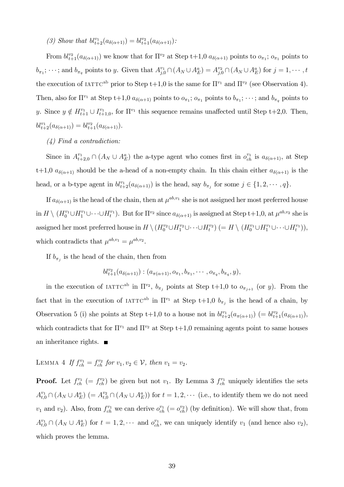(3) Show that  $bl_{t+2}^{v_1}(a_{\delta(\alpha+1)}) = bl_{t+1}^{v_2}(a_{\delta(\alpha+1)})$ :

From  $bl_{t+1}^{v_2}(a_{\delta(\alpha+1)})$  we know that for  $\Pi^{v_2}$  at Step t+1,0  $a_{\delta(\alpha+1)}$  points to  $o_{\pi_1}$ ;  $o_{\pi_1}$  points to  $b_{\pi_1}$ ;  $\cdots$ ; and  $b_{\pi_q}$  points to y. Given that  $A_{j,0}^{v_1} \cap (A_N \cup A_E^a) = A_{j,0}^{v_2} \cap (A_N \cup A_E^a)$  for  $j = 1, \cdots, t$ the execution of  $IATTC^{ab}$  prior to Step t+1,0 is the same for  $\Pi^{v_1}$  and  $\Pi^{v_2}$  (see Observation 4). Then, also for  $\Pi^{v_1}$  at Step t+1,0  $a_{\delta(\alpha+1)}$  points to  $o_{\pi_1}$ ;  $o_{\pi_1}$  points to  $b_{\pi_1}$ ;  $\dots$ ; and  $b_{\pi_q}$  points to y. Since  $y \notin H_{t+1}^{v_1} \cup I_{t+1,0}^{v_1}$ , for  $\Pi^{v_1}$  this sequence remains unaffected until Step t+2,0. Then,  $bl_{t+2}^{v_1}(a_{\delta(\alpha+1)}) = bl_{t+1}^{v_2}(a_{\delta(\alpha+1)}).$ 

### (4) Find a contradiction:

Since in  $A_{t+2,0}^{v_1} \cap (A_N \cup A_E^a)$  the a-type agent who comes first in  $o_{ch}^{v_1}$  is  $a_{\delta(\alpha+1)}$ , at Step t+1,0  $a_{\delta(\alpha+1)}$  should be the a-head of a non-empty chain. In this chain either  $a_{\delta(\alpha+1)}$  is the head, or a b-type agent in  $bl_{t+2}^{v_1}(a_{\delta(\alpha+1)})$  is the head, say  $b_{\pi_j}$  for some  $j \in \{1, 2, \cdots, q\}$ .

If  $a_{\delta(\alpha+1)}$  is the head of the chain, then at  $\mu^{ab,v_1}$  she is not assigned her most preferred house  $\text{in } H \setminus (H_0^{v_1} \cup H_1^{v_1} \cup \cdots \cup H_t^{v_1}).$  But for  $\Pi^{v_2}$  since  $a_{\delta(\alpha+1)}$  is assigned at Step t+1,0, at  $\mu^{ab,v_2}$  she is assigned her most preferred house in  $H \setminus (H_0^{v_2} \cup H_1^{v_2} \cup \cdots \cup H_t^{v_2}) (= H \setminus (H_0^{v_1} \cup H_1^{v_1} \cup \cdots \cup H_t^{v_1})),$ which contradicts that  $\mu^{ab,v_1} = \mu^{ab,v_2}$ .

If  $b_{\pi_j}$  is the head of the chain, then from

$$
bl_{t+1}^{v_2}(a_{\delta(\alpha+1)}):(a_{\pi(\alpha+1)},o_{\pi_1},b_{\pi_1},\cdots,o_{\pi_q},b_{\pi_q},y),
$$

in the execution of IATTC<sup>ab</sup> in  $\Pi^{v_2}$ ,  $b_{\pi_j}$  points at Step t+1,0 to  $o_{\pi_{j+1}}$  (or y). From the fact that in the execution of  $IATTC^{ab}$  in  $\Pi^{v_1}$  at Step t+1,0  $b_{\pi_j}$  is the head of a chain, by Observation 5 (i) she points at Step t+1,0 to a house not in  $bl_{t+2}^{v_1}(a_{\pi(\alpha+1)})$  (=  $bl_{t+1}^{v_2}(a_{\delta(\alpha+1)}),$ which contradicts that for  $\Pi^{v_1}$  and  $\Pi^{v_2}$  at Step t+1,0 remaining agents point to same houses an inheritance rights.  $\blacksquare$ 

LEMMA 4 If 
$$
f_{ch}^{v_1} = f_{ch}^{v_2}
$$
 for  $v_1, v_2 \in V$ , then  $v_1 = v_2$ .

**Proof.** Let  $f_{ch}^{v_1}$  (=  $f_{ch}^{v_2}$ ) be given but not  $v_1$ . By Lemma 3  $f_{ch}^{v_1}$  uniquely identifies the sets  $A_{t,0}^{v_1} \cap (A_N \cup A_E^a)$   $(= A_{t,0}^{v_2} \cap (A_N \cup A_E^a))$  for  $t = 1,2,\cdots$  (i.e., to identify them we do not need  $v_1$  and  $v_2$ ). Also, from  $f_{ch}^{v_1}$  we can derive  $o_{ch}^{v_1} (= o_{ch}^{v_2})$  (by definition). We will show that, from  $A_{t,0}^{v_1} \cap (A_N \cup A_E^a)$  for  $t = 1, 2, \cdots$  and  $o_{ch}^{v_1}$ , we can uniquely identify  $v_1$  (and hence also  $v_2$ ), which proves the lemma.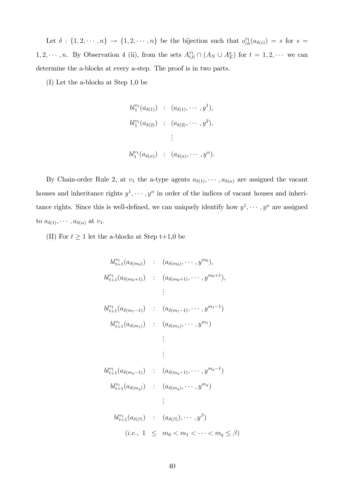Let  $\delta: \{1, 2, \dots, n\} \to \{1, 2, \dots, n\}$  be the bijection such that  $o_{ch}^{v_1}(a_{\delta(s)}) = s$  for  $s =$  $1, 2, \dots, n$ . By Observation 4 (ii), from the sets  $A_{t,0}^{v_1} \cap (A_N \cup A_E^a)$  for  $t = 1, 2, \dots$  we can determine the a-blocks at every a-step. The proof is in two parts.

(I) Let the a-blocks at Step 1,0 be

$$
bl_1^{v_1}(a_{\delta(1)}) \; : \; (a_{\delta(1)}, \cdots, y^1),
$$
  
\n
$$
bl_1^{v_1}(a_{\delta(2)}) \; : \; (a_{\delta(2)}, \cdots, y^2),
$$
  
\n
$$
\vdots
$$
  
\n
$$
bl_1^{v_1}(a_{\delta(\alpha)}) \; : \; (a_{\delta(\alpha)}, \cdots, y^{\alpha}).
$$

By Chain-order Rule 2, at  $v_1$  the a-type agents  $a_{\delta(1)}, \cdots, a_{\delta(\alpha)}$  are assigned the vacant houses and inheritance rights  $y^1, \dots, y^{\alpha}$  in order of the indices of vacant houses and inheritance rights. Since this is well-defined, we can uniquely identify how  $y^1, \dots, y^\alpha$  are assigned to  $a_{\delta(1)}, \cdots, a_{\delta(\alpha)}$  at  $v_1$ .

(II) For  $t \ge 1$  let the a-blocks at Step t+1,0 be

$$
bl_{t+1}^{v_1}(a_{\delta(m_0)}) : (a_{\delta(m_0)}, \cdots, y^{m_0}),
$$
\n
$$
bl_{t+1}^{v_1}(a_{\delta(m_0+1)}) : (a_{\delta(m_0+1)}, \cdots, y^{m_0+1}),
$$
\n
$$
\vdots
$$
\n
$$
bl_{t+1}^{v_1}(a_{\delta(m_1-1)}) : (a_{\delta(m_1-1)}, \cdots, y^{m_1-1})
$$
\n
$$
bl_{t+1}^{v_1}(a_{\delta(m_1)}) : (a_{\delta(m_1)}, \cdots, y^{m_1})
$$
\n
$$
\vdots
$$
\n
$$
bl_{t+1}^{v_1}(a_{\delta(m_q-1)}) : (a_{\delta(m_q-1)}, \cdots, y^{m_q-1})
$$
\n
$$
bl_{t+1}^{v_1}(a_{\delta(m_q)}) : (a_{\delta(m_q)}, \cdots, y^{m_q})
$$
\n
$$
\vdots
$$
\n
$$
bl_{t+1}^{v_1}(a_{\delta(\beta)}) : (a_{\delta(\beta)}), \cdots, y^{\beta})
$$
\n
$$
(i.e., 1 \leq m_0 < m_1 < \cdots < m_q \leq \beta)
$$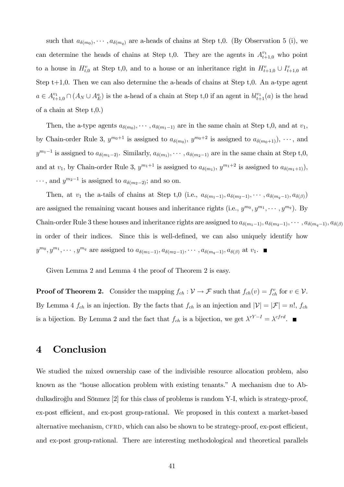such that  $a_{\delta(m_0)}, \dots, a_{\delta(m_q)}$  are a-heads of chains at Step t,0. (By Observation 5 (i), we can determine the heads of chains at Step t,0. They are the agents in  $A_{t+1,0}^{v_1}$  who point to a house in  $H_{t,0}^v$  at Step t,0, and to a house or an inheritance right in  $H_{t+1,0}^v \cup I_{t+1,0}^v$  at Step  $t+1,0$ . Then we can also determine the a-heads of chains at Step  $t,0$ . An a-type agent  $a \in A_{t+1,0}^{v_1} \cap (A_N \cup A_E^a)$  is the a-head of a chain at Step t,0 if an agent in  $bl_{t+1}^{v_1}(a)$  is the head of a chain at Step t,0.)

Then, the a-type agents  $a_{\delta(m_0)}, \dots, a_{\delta(m_1-1)}$  are in the same chain at Step t,0, and at  $v_1$ , by Chain-order Rule 3,  $y^{m_0+1}$  is assigned to  $a_{\delta(m_0)}, y^{m_0+2}$  is assigned to  $a_{\delta(m_0+1)}$ ,  $\cdots$ , and  $y^{m_1-1}$  is assigned to  $a_{\delta(m_1-2)}$ . Similarly,  $a_{\delta(m_1)}, \cdots, a_{\delta(m_2-1)}$  are in the same chain at Step t,0, and at  $v_1$ , by Chain-order Rule 3,  $y^{m_1+1}$  is assigned to  $a_{\delta(m_1)}$ ,  $y^{m_1+2}$  is assigned to  $a_{\delta(m_1+1)}$ ),  $\cdots$ , and  $y^{m_2-1}$  is assigned to  $a_{\delta(m_2-2)}$ ; and so on.

Then, at  $v_1$  the a-tails of chains at Step t, 0 (i.e.,  $a_{\delta(m_1-1)}, a_{\delta(m_2-1)}, \cdots, a_{\delta(m_q-1)}, a_{\delta(\beta)}$ ) are assigned the remaining vacant houses and inheritance rights (i.e.,  $y^{m_0}, y^{m_1}, \dots, y^{m_q}$ ). By Chain-order Rule 3 these houses and inheritance rights are assigned to  $a_{\delta(m_1-1)}, a_{\delta(m_2-1)}, \cdots, a_{\delta(m_q-1)}, a_{\delta(\beta)}$ in order of their indices. Since this is well-defined, we can also uniquely identify how  $y^{m_0}, y^{m_1}, \cdots, y^{m_q}$  are assigned to  $a_{\delta(m_1-1)}, a_{\delta(m_2-1)}, \cdots, a_{\delta(m_q-1)}, a_{\delta(\beta)}$  at  $v_1$ .

Given Lemma 2 and Lemma 4 the proof of Theorem 2 is easy.

**Proof of Theorem 2.** Consider the mapping  $f_{ch} : \mathcal{V} \to \mathcal{F}$  such that  $f_{ch}(v) = f_{ch}^v$  for  $v \in \mathcal{V}$ . By Lemma 4  $f_{ch}$  is an injection. By the facts that  $f_{ch}$  is an injection and  $|\mathcal{V}| = |\mathcal{F}| = n!$ ,  $f_{ch}$ is a bijection. By Lemma 2 and the fact that  $f_{ch}$  is a bijection, we get  $\lambda^{rY-I} = \lambda^{cfrd}$ .

### 4 Conclusion

We studied the mixed ownership case of the indivisible resource allocation problem, also known as the "house allocation problem with existing tenants." A mechanism due to Abdulkadiroglu and Sönmez  $[2]$  for this class of problems is random Y-I, which is strategy-proof, ex-post efficient, and ex-post group-rational. We proposed in this context a market-based alternative mechanism, CFRD, which can also be shown to be strategy-proof, ex-post efficient, and ex-post group-rational. There are interesting methodological and theoretical parallels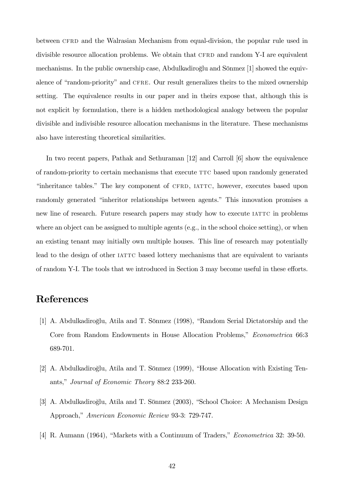between CFRD and the Walrasian Mechanism from equal-division, the popular rule used in divisible resource allocation problems. We obtain that CFRD and random Y-I are equivalent mechanisms. In the public ownership case, Abdulkadiroglu and Sönmez [1] showed the equivalence of "random-priority" and CFRE. Our result generalizes theirs to the mixed ownership setting. The equivalence results in our paper and in theirs expose that, although this is not explicit by formulation, there is a hidden methodological analogy between the popular divisible and indivisible resource allocation mechanisms in the literature. These mechanisms also have interesting theoretical similarities.

In two recent papers, Pathak and Sethuraman [12] and Carroll [6] show the equivalence of random-priority to certain mechanisms that execute ttc based upon randomly generated "inheritance tables." The key component of CFRD, IATTC, however, executes based upon randomly generated "inheritor relationships between agents." This innovation promises a new line of research. Future research papers may study how to execute IATTC in problems where an object can be assigned to multiple agents (e.g., in the school choice setting), or when an existing tenant may initially own multiple houses. This line of research may potentially lead to the design of other IATTC based lottery mechanisms that are equivalent to variants of random Y-I. The tools that we introduced in Section 3 may become useful in these efforts.

# References

- [1] A. Abdulkadiroğlu, Atila and T. Sönmez (1998), "Random Serial Dictatorship and the Core from Random Endowments in House Allocation Problems," Econometrica 66:3 689-701.
- [2] A. Abdulkadiroğlu, Atila and T. Sönmez (1999), "House Allocation with Existing Tenants," Journal of Economic Theory 88:2 233-260.
- [3] A. Abdulkadiroğlu, Atila and T. Sönmez (2003), "School Choice: A Mechanism Design Approach," American Economic Review 93-3: 729-747.
- [4] R. Aumann (1964), "Markets with a Continuum of Traders," *Econometrica* 32: 39-50.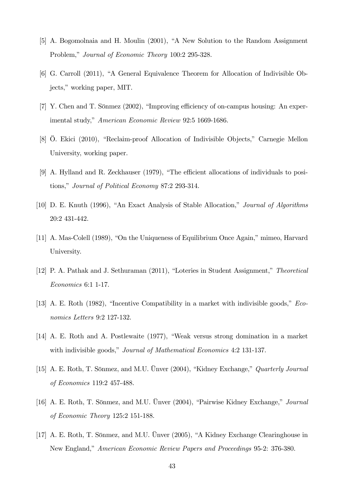- [5] A. Bogomolnaia and H. Moulin (2001), "A New Solution to the Random Assignment Problem," Journal of Economic Theory 100:2 295-328.
- [6] G. Carroll (2011), "A General Equivalence Theorem for Allocation of Indivisible Objects," working paper, MIT.
- [7] Y. Chen and T. Sönmez (2002), "Improving efficiency of on-campus housing: An experimental study," American Economic Review 92:5 1669-1686.
- [8] Ö. Ekici (2010), "Reclaim-proof Allocation of Indivisible Objects," Carnegie Mellon University, working paper.
- [9] A. Hylland and R. Zeckhauser  $(1979)$ , "The efficient allocations of individuals to positions," Journal of Political Economy 87:2 293-314.
- [10] D. E. Knuth (1996), "An Exact Analysis of Stable Allocation," Journal of Algorithms 20:2 431-442.
- [11] A. Mas-Colell (1989), "On the Uniqueness of Equilibrium Once Again," mimeo, Harvard University.
- [12] P. A. Pathak and J. Sethuraman (2011), "Loteries in Student Assignment," Theoretical Economics 6:1 1-17.
- [13] A. E. Roth (1982), "Incentive Compatibility in a market with indivisible goods,"  $Eco$ nomics Letters 9:2 127-132.
- [14] A. E. Roth and A. Postlewaite (1977), "Weak versus strong domination in a market with indivisible goods," Journal of Mathematical Economics 4:2 131-137.
- [15] A. E. Roth, T. Sönmez, and M.U. Ünver (2004), "Kidney Exchange," Quarterly Journal of Economics 119:2 457-488.
- [16] A. E. Roth, T. Sönmez, and M.U. Ünver  $(2004)$ , "Pairwise Kidney Exchange," *Journal* of Economic Theory 125:2 151-188.
- [17] A. E. Roth, T. Sönmez, and M.U. Unver  $(2005)$ , "A Kidney Exchange Clearinghouse in New England," American Economic Review Papers and Proceedings 95-2: 376-380.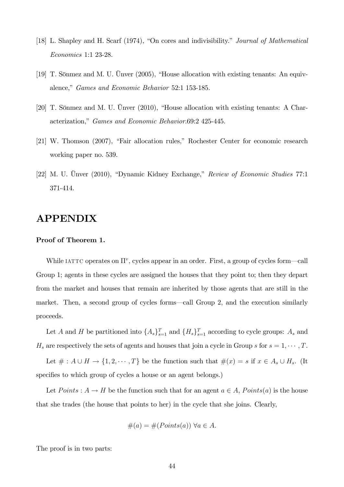- [18] L. Shapley and H. Scarf (1974), "On cores and indivisibility." Journal of Mathematical Economics 1:1 23-28.
- [19] T. Sönmez and M. U. Ünver  $(2005)$ , "House allocation with existing tenants: An equivalence," Games and Economic Behavior 52:1 153-185.
- [20] T. Sönmez and M. U. Ünver  $(2010)$ , "House allocation with existing tenants: A Characterization," Games and Economic Behavior.69:2 425-445.
- $[21]$  W. Thomson  $(2007)$ , "Fair allocation rules," Rochester Center for economic research working paper no. 539.
- [22] M. U. Ünver (2010), "Dynamic Kidney Exchange," Review of Economic Studies 77:1 371-414.

# APPENDIX

#### Proof of Theorem 1.

While IATTC operates on  $\Pi^v$ , cycles appear in an order. First, a group of cycles form—call Group 1; agents in these cycles are assigned the houses that they point to; then they depart from the market and houses that remain are inherited by those agents that are still in the market. Then, a second group of cycles forms—call Group 2, and the execution similarly proceeds.

Let A and H be partitioned into  $\{A_s\}_{s=1}^T$  and  $\{H_s\}_{s=1}^T$  according to cycle groups:  $A_s$  and  $H_s$  are respectively the sets of agents and houses that join a cycle in Group s for  $s = 1, \dots, T$ .

Let  $\# : A \cup H \to \{1, 2, \cdots, T\}$  be the function such that  $\#(x) = s$  if  $x \in A_s \cup H_s$ . (It specifies to which group of cycles a house or an agent belongs.)

Let  $Points: A \rightarrow H$  be the function such that for an agent  $a \in A$ ,  $Points(a)$  is the house that she trades (the house that points to her) in the cycle that she joins. Clearly,

$$
\#(a) = \#(Points(a)) \,\,\forall a \in A.
$$

The proof is in two parts: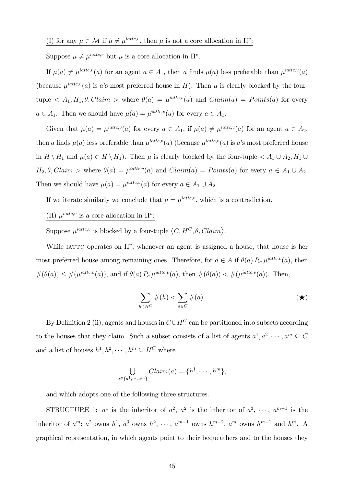Suppose  $\mu \neq \mu^{iattice,v}$  but  $\mu$  is a core allocation in  $\Pi^v$ .

If  $\mu(a) \neq \mu^{iatic,v}(a)$  for an agent  $a \in A_1$ , then a finds  $\mu(a)$  less preferable than  $\mu^{iatic,v}(a)$ (because  $\mu^{iattice,v}(a)$  is a's most preferred house in H). Then  $\mu$  is clearly blocked by the fourtuple  $\langle A_1, H_1, \theta, Claim \rangle$  where  $\theta(a) = \mu^{iattice,v}(a)$  and  $Claim(a) = Points(a)$  for every  $a \in A_1$ . Then we should have  $\mu(a) = \mu^{iatic,v}(a)$  for every  $a \in A_1$ .

Given that  $\mu(a) = \mu^{iatic,v}(a)$  for every  $a \in A_1$ , if  $\mu(a) \neq \mu^{iattice,v}(a)$  for an agent  $a \in A_2$ , then a finds  $\mu(a)$  less preferable than  $\mu^{iattice,v}(a)$  (because  $\mu^{iattice,v}(a)$  is a's most preferred house in  $H \setminus H_1$  and  $\mu(a) \in H \setminus H_1$ ). Then  $\mu$  is clearly blocked by the four-tuple  $\langle A_1 \cup A_2, H_1 \cup$  $H_2, \theta, Claim$  > where  $\theta(a) = \mu^{iattice,v}(a)$  and  $Claim(a) = Points(a)$  for every  $a \in A_1 \cup A_2$ . Then we should have  $\mu(a) = \mu^{iatic,v}(a)$  for every  $a \in A_1 \cup A_2$ .

If we iterate similarly we conclude that  $\mu = \mu^{iattice,v}$ , which is a contradiction.

(II)  $\mu^{iattice,v}$  is a core allocation in  $\Pi^v$ :

Suppose  $\mu^{iattice,v}$  is blocked by a four-tuple  $\langle C, H^C, \theta, Claim \rangle$ .

While IATTC operates on  $\Pi^v$ , whenever an agent is assigned a house, that house is her most preferred house among remaining ones. Therefore, for  $a \in A$  if  $\theta(a) R_a \mu^{iatic,v}(a)$ , then  $\#(\theta(a)) \leq \#(\mu^{iatic,v}(a)),$  and if  $\theta(a) P_a \mu^{iattice,v}(a)$ , then  $\#(\theta(a)) < \#(\mu^{iattice,v}(a))$ . Then,

$$
\sum_{h \in H^C} \#(h) < \sum_{a \in C} \#(a). \tag{\bigstar}
$$

By Definition 2 (ii), agents and houses in  $C\cup H^C$  can be partitioned into subsets according to the houses that they claim. Such a subset consists of a list of agents  $a^1, a^2, \dots, a^m \subseteq C$ and a list of houses  $h^1, h^2, \cdots, h^m \subseteq H^C$  where

$$
\bigcup_{a\in\{a^1,\cdots,a^m\}} Claim(a) = \{h^1,\cdots,h^m\},\
$$

and which adopts one of the following three structures.

STRUCTURE 1:  $a^1$  is the inheritor of  $a^2$ ,  $a^2$  is the inheritor of  $a^3$ ,  $\cdots$ ,  $a^{m-1}$  is the inheritor of  $a^m$ ;  $a^2$  owns  $h^1$ ,  $a^3$  owns  $h^2$ ,  $\cdots$ ,  $a^{m-1}$  owns  $h^{m-2}$ ,  $a^m$  owns  $h^{m-1}$  and  $h^m$ . A graphical representation, in which agents point to their bequeathers and to the houses they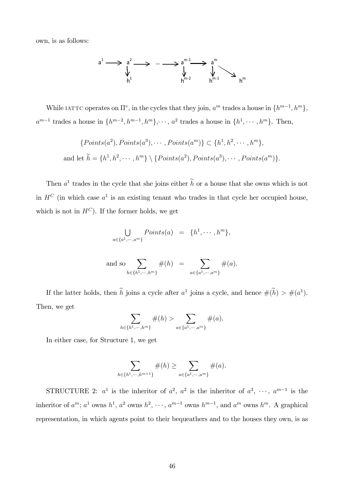own, is as follows:



While IATTC operates on  $\Pi^v$ , in the cycles that they join,  $a^m$  trades a house in  $\{h^{m-1}, h^m\}$ ,  $a^{m-1}$  trades a house in  $\{h^{m-2}, h^{m-1}, h^{m}\}, \cdots, a^2$  trades a house in  $\{h^1, \cdots, h^m\}$ . Then,

$$
\{Points(a^2), Points(a^3), \cdots, Points(a^m) \} \subset \{h^1, h^2, \cdots, h^m\},
$$
  
and let  $\tilde{h} = \{h^1, h^2, \cdots, h^m\} \setminus \{Points(a^2), Points(a^3), \cdots, Points(a^m)\}.$ 

Then  $a^1$  trades in the cycle that she joins either h or a house that she owns which is not in  $H^C$  (in which case  $a^1$  is an existing tenant who trades in that cycle her occupied house, which is not in  $H^C$ ). If the former holds, we get

$$
\bigcup_{a \in \{a^1, \dots, a^m\}} Points(a) = \{h^1, \dots, h^m\},\
$$

and so 
$$
\sum_{h \in \{h^1, \dots, h^m\}} \#(h) = \sum_{a \in \{a^1, \dots, a^m\}} \#(a).
$$

If the latter holds, then h joins a cycle after  $a^1$  joins a cycle, and hence  $\#(h) > \#(a^1)$ . Then, we get

$$
\sum_{h \in \{h^1, \dots, h^m\}} \#(h) > \sum_{a \in \{a^1, \dots, a^m\}} \#(a).
$$

In either case, for Structure 1, we get

$$
\sum_{h \in \{h^1, \dots, h^{m+1}\}} \#(h) \ge \sum_{a \in \{a^1, \dots, a^m\}} \#(a).
$$

STRUCTURE 2:  $a^1$  is the inheritor of  $a^2$ ,  $a^2$  is the inheritor of  $a^3$ ,  $\cdots$ ,  $a^{m-1}$  is the inheritor of  $a^m$ ;  $a^1$  owns  $h^1$ ,  $a^2$  owns  $h^2$ ,  $\dots$ ,  $a^{m-1}$  owns  $h^{m-1}$ , and  $a^m$  owns  $h^m$ . A graphical representation, in which agents point to their bequeathers and to the houses they own, is as